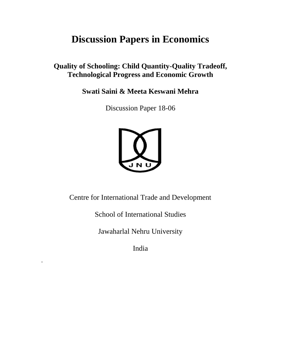## **Discussion Papers in Economics**

**Quality of Schooling: Child Quantity-Quality Tradeoff, Technological Progress and Economic Growth** 

Swati Saini & Meeta Keswani Mehra

Discussion Paper 18-06



Centre for International Trade and Development

**School of International Studies** 

Jawaharlal Nehru University

India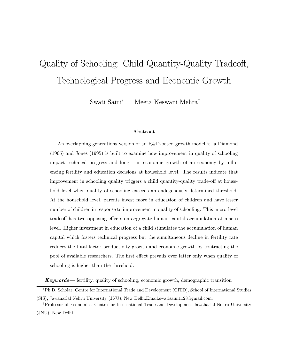# Quality of Schooling: Child Quantity-Quality Tradeoff, Technological Progress and Economic Growth

Meeta Keswani Mehra<sup>†</sup> Swati Saini\*

## Abstract

An overlapping generations version of an R&D-based growth model 'a la Diamond  $(1965)$  and Jones  $(1995)$  is built to examine how improvement in quality of schooling impact technical progress and long- run economic growth of an economy by influencing fertility and education decisions at household level. The results indicate that improvement in schooling quality triggers a child quantity-quality trade-off at household level when quality of schooling exceeds an endogenously determined threshold. At the household level, parents invest more in education of children and have lesser number of children in response to improvement in quality of schooling. This micro-level tradeoff has two opposing effects on aggregate human capital accumulation at macro level. Higher investment in education of a child stimulates the accumulation of human capital which fosters technical progress but the simultaneous decline in fertility rate reduces the total factor productivity growth and economic growth by contracting the pool of available researchers. The first effect prevails over latter only when quality of schooling is higher than the threshold.

**Keywords**—fertility, quality of schooling, economic growth, demographic transition

<sup>\*</sup>Ph.D. Scholar, Centre for International Trade and Development (CITD), School of International Studies (SIS), Jawaharlal Nehru University (JNU), New Delhi. Email: swatisaini 1128@gmail.com.

<sup>&</sup>lt;sup>†</sup>Professor of Economics, Centre for International Trade and Development, Jawaharlal Nehru University (JNU), New Delhi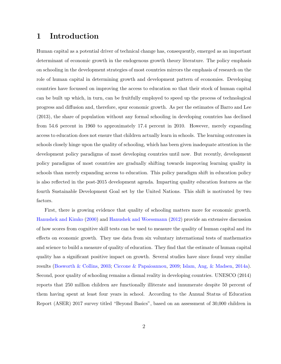### Introduction  $\mathbf 1$

Human capital as a potential driver of technical change has, consequently, emerged as an important determinant of economic growth in the endogenous growth theory literature. The policy emphasis on schooling in the development strategies of most countries mirrors the emphasis of research on the role of human capital in determining growth and development pattern of economies. Developing countries have focussed on improving the access to education so that their stock of human capital can be built up which, in turn, can be fruitfully employed to speed up the process of technological progress and diffusion and, therefore, spur economic growth. As per the estimates of Barro and Lee (2013), the share of population without any formal schooling in developing countries has declined from 54.6 percent in 1960 to approximately 17.4 percent in 2010. However, merely expanding access to education does not ensure that children actually learn in schools. The learning outcomes in schools closely hinge upon the quality of schooling, which has been given inadequate attention in the development policy paradigms of most developing countries until now. But recently, development policy paradigms of most countries are gradually shifting towards improving learning quality in schools than merely expanding access to education. This policy paradigm shift in education policy is also reflected in the post-2015 development agenda. Imparting quality education features as the fourth Sustainable Development Goal set by the United Nations. This shift is motivated by two factors.

First, there is growing evidence that quality of schooling matters more for economic growth. Hanushek and Kimko (2000) and Hanushek and Woessmann (2012) provide an extensive discussion of how scores from cognitive skill tests can be used to measure the quality of human capital and its effects on economic growth. They use data from six voluntary international tests of mathematics and science to build a measure of quality of education. They find that the estimate of human capital quality has a significant positive impact on growth. Several studies have since found very similar results (Bosworth & Collins, 2003; Ciccone & Papaioannou, 2009; Islam, Ang, & Madsen, 2014a). Second, poor quality of schooling remains a dismal reality in developing countries. UNESCO (2014) reports that 250 million children are functionally illiterate and innumerate despite 50 percent of them having spent at least four years in school. According to the Annual Status of Education Report (ASER) 2017 survey titled "Beyond Basics", based on an assessment of 30,000 children in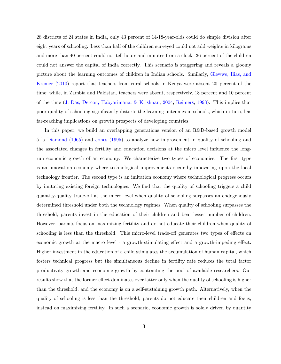28 districts of 24 states in India, only 43 percent of 14-18-year-olds could do simple division after eight years of schooling. Less than half of the children surveyed could not add weights in kilograms and more than 40 percent could not tell hours and minutes from a clock. 36 percent of the children could not answer the capital of India correctly. This scenario is staggering and reveals a gloomy picture about the learning outcomes of children in Indian schools. Similarly, Glewwe, Ilias, and Kremer (2010) report that teachers from rural schools in Kenya were absent 20 percent of the time; while, in Zambia and Pakistan, teachers were absent, respectively, 18 percent and 10 percent of the time (J. Das, Dercon, Habyarimana, & Krishnan, 2004; Reimers, 1993). This implies that poor quality of schooling significantly distorts the learning outcomes in schools, which in turn, has far-reaching implications on growth prospects of developing countries.

In this paper, we build an overlapping generations version of an  $R\&D$ -based growth model á la Diamond (1965) and Jones (1995) to analyze how improvement in quality of schooling and the associated changes in fertility and education decisions at the micro level influence the longrun economic growth of an economy. We characterize two types of economies. The first type is an innovation economy where technological improvements occur by innovating upon the local technology frontier. The second type is an imitation economy where technological progress occurs by imitating existing foreign technologies. We find that the quality of schooling triggers a child quantity-quality trade-off at the micro level when quality of schooling surpasses an endogenously determined threshold under both the technology regimes. When quality of schooling surpasses the threshold, parents invest in the education of their children and bear lesser number of children. However, parents focus on maximizing fertility and do not educate their children when quality of schooling is less than the threshold. This micro-level trade-off generates two types of effects on economic growth at the macro level - a growth-stimulating effect and a growth-impeding effect. Higher investment in the education of a child stimulates the accumulation of human capital, which fosters technical progress but the simultaneous decline in fertility rate reduces the total factor productivity growth and economic growth by contracting the pool of available researchers. Our results show that the former effect dominates over latter only when the quality of schooling is higher than the threshold, and the economy is on a self-sustaining growth path. Alternatively, when the quality of schooling is less than the threshold, parents do not educate their children and focus, instead on maximizing fertility. In such a scenario, economic growth is solely driven by quantity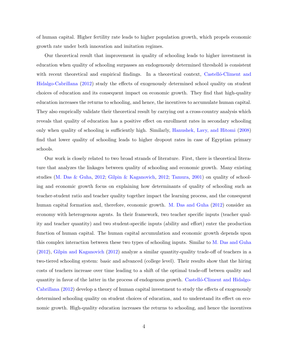of human capital. Higher fertility rate leads to higher population growth, which propels economic growth rate under both innovation and imitation regimes.

Our theoretical result that improvement in quality of schooling leads to higher investment in education when quality of schooling surpasses an endogenously determined threshold is consistent with recent theoretical and empirical findings. In a theoretical context, Castello-Climent and Hidalgo-Cabrillana (2012) study the effects of exogenously determined school quality on student choices of education and its consequent impact on economic growth. They find that high-quality education increases the returns to schooling, and hence, the incentives to accumulate human capital. They also emprically validate their theoretical result by carrying out a cross-country analysis which reveals that quality of education has a positive effect on enrollment rates in secondary schooling only when quality of schooling is sufficiently high. Similarly, Hanushek, Lavy, and Hitomi (2008) find that lower quality of schooling leads to higher dropout rates in case of Egyptian primary schools.

Our work is closely related to two broad strands of literature. First, there is theoretical literature that analyzes the linkages between quality of schooling and economic growth. Many existing studies (M. Das & Guha, 2012; Gilpin & Kaganovich, 2012; Tamura, 2001) on quality of schooling and economic growth focus on explaining how determinants of quality of schooling such as teacher-student ratio and teacher quality together impact the learning process, and the consequent human capital formation and, therefore, economic growth. M. Das and Guha (2012) consider an economy with heterogenous agents. In their framework, two teacher specific inputs (teacher quality and teacher quantity) and two student-specific inputs (ability and effort) enter the production function of human capital. The human capital accumulation and economic growth depends upon this complex interaction between these two types of schooling inputs. Similar to M. Das and Guha  $(2012)$ , Gilpin and Kaganovich  $(2012)$  analyze a similar quantity-quality trade-off of teachers in a two-tiered schooling system: basic and advanced (college level). Their results show that the hiring costs of teachers increase over time leading to a shift of the optimal trade-off betwen quality and quantity in favor of the latter in the process of endogenous growth. Castello-Climent and Hidalgo-Cabrillana (2012) develop a theory of human capital investment to study the effects of exogenously determined schooling quality on student choices of education, and to understand its effect on economic growth. High-quality education increases the returns to schooling, and hence the incentives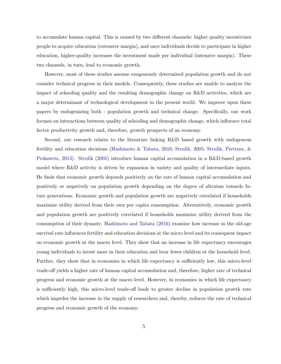to accumulate human capital. This is caused by two different channels: higher quality incentivizes people to acquire education (extensive margin), and once individuals decide to participate in higher education, higher-quality increases the investment made per individual (intensive margin). These two channels, in turn, lead to economic growth.

However, most of these studies assume exogenously determined population growth and do not consider technical progress in their models. Consequently, these studies are unable to analyze the impact of schooling quality and the resulting demographic change on R&D activities, which are a major determinant of technological development in the present world. We improve upon these papers by endogenizing both - population growth and technical change. Specifically, our work focuses on interactions between quality of schooling and demographic change, which influence total factor productivity growth and, therefore, growth prospects of an economy.

Second, our research relates to the literature linking R&D based growth with endogenous fertility and education decisions (Hashimoto & Tabata, 2016; Strulik, 2005; Strulik, Prettner, & Prskawetz, 2013). Strulik (2005) introduce human capital accumulation in a R&D-based growth model where R&D activity is driven by expansion in variety and quality of intermediate inputs. He finds that economic growth depends positively on the rate of human capital accumulation and positively or negatively on population growth depending on the degree of altruism towards future generations. Economic growth and population growth are negatively correlated if households maximize utility derived from their own per capita consumption. Alternatively, economic growth and population growth are positively correlated if households maximize utility derived from the consumption of their dynasty. Hashimoto and Tabata (2016) examine how increase in the old-age survival rate influences fertility and education decisions at the micro level and its consequent impact on economic growth at the macro level. They show that an increase in life expectancy encourages young individuals to invest more in their education and bear fewer children at the household level. Further, they show that in economies in which life expectancy is sufficiently low, this micro-level trade-off yields a higher rate of human capital accumulation and, therefore, higher rate of technical progress and economic growth at the macro level. However, in economies in which life expectancy is sufficiently high, this micro-level trade-off leads to greater decline in population growth rate which impedes the increase in the supply of researchers and, thereby, reduces the rate of technical progress and economic growth of the economy.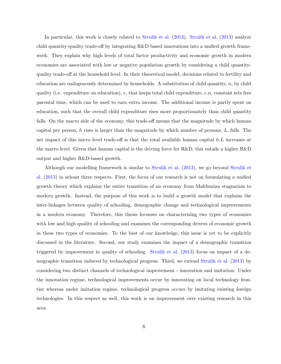In particular, this work is closely related to Strulik et al. (2013). Strulik et al. (2013) analyze child quantity-quality trade-off by integrating R&D based innovations into a unified growth framework. They explain why high levels of total factor productivity and economic growth in modern economies are associated with low or negative population growth by considering a child quantityquality trade-off at the household level. In their theoretical model, decisions related to fertility and education are endogenously determined by households. A substitution of child quantity,  $n$ , by child quality (i.e. expenditure on education),  $e$ , that keeps total child expenditure,  $e.n$ , constant sets free parental time, which can be used to earn extra income. The additional income is partly spent on education, such that the overall child expenditure rises more proportionately than child quantity falls. On the macro side of the economy, this trade-off means that the magnitude by which human capital per person, h rises is larger than the magnitude by which number of persons,  $L$ , falls. The net impact of this micro level trade-off is that the total available human capital h.L increases at the macro level. Given that human capital is the driving force for R&D, this entails a higher R&D output and higher R&D-based growth.

Although our modelling framework is similar to Strulik et al. (2013), we go beyond Strulik et al. (2013) in at least three respects. First, the focus of our research is not on formulating a unified growth theory which explains the entire transition of an economy from Malthusian stagnation to modern growth. Instead, the purpose of this work is to build a growth model that explains the inter-linkages between quality of schooling, demographic change and technological improvements in a modern economy. Therefore, this thesis focusses on characterizing two types of economies with low and high quality of schooling and examines the corresponding drivers of economic growth in these two types of economies. To the best of our knowledge, this issue is yet to be explicitly discussed in the literature. Second, our study examines the impact of a demographic transition triggered by improvement in quality of schooling. Strulik et al. (2013) focus on impact of a demographic transition induced by technological progress. Third, we extend Strulik et al. (2013) by considering two distinct channels of technological improvement - innovation and imitation. Under the innovation regime, technological improvements occur by innovating on local technology fromtier whereas under imitation regime, technological progress occurs by imitating existing foreign technologies. In this respect as well, this work is an improvement over existing research in this area.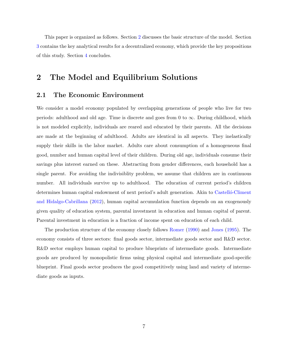This paper is organized as follows. Section 2 discusses the basic structure of the model. Section 3 contains the key analytical results for a decentralized economy, which provide the key propositions of this study. Section 4 concludes.

### The Model and Equilibrium Solutions  $\overline{2}$

#### $2.1$ The Economic Environment

We consider a model economy populated by overlapping generations of people who live for two periods: adulthood and old age. Time is discrete and goes from 0 to  $\infty$ . During childhood, which is not modeled explicitly, individuals are reared and educated by their parents. All the decisions are made at the beginning of adulthood. Adults are identical in all aspects. They inelastically supply their skills in the labor market. Adults care about consumption of a homogeneous final good, number and human capital level of their children. During old age, individuals consume their savings plus interest earned on these. Abstracting from gender differences, each household has a single parent. For avoiding the indivisibility problem, we assume that children are in continuous number. All individuals survive up to adulthood. The education of current period's children determines human capital endowment of next period's adult generation. Akin to Castelló-Climent and Hidalgo-Cabrillana (2012), human capital accumulation function depends on an exogenously given quality of education system, parental investment in education and human capital of parent. Parental investment in education is a fraction of income spent on education of each child.

The production structure of the economy closely follows Romer (1990) and Jones (1995). The economy consists of three sectors: final goods sector, intermediate goods sector and R&D sector. R&D sector employs human capital to produce blueprints of intermediate goods. Intermediate goods are produced by monopolistic firms using physical capital and intermediate good-specific blueprint. Final goods sector produces the good competitively using land and variety of intermediate goods as inputs.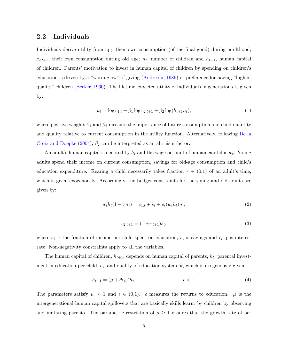#### $2.2$ Individuals

Individuals derive utility from  $c_{1,t}$ , their own consumption (of the final good) during adulthood;  $c_{2,t+1}$ , their own consumption during old age;  $n_t$ , number of children and  $h_{t+1}$ , human capital of children. Parents' motivation to invest in human capital of children by spending on children's education is driven by a "warm glow" of giving (Andreoni, 1989) or preference for having "higherquality" children (Becker, 1960). The lifetime expected utility of individuals in generation t is given by:

$$
u_t = \log c_{1,t} + \beta_1 \log c_{2,t+1} + \beta_2 \log(h_{t+1} n_t),\tag{1}
$$

where positive weights  $\beta_1$  and  $\beta_2$  measure the importance of future consumption and child quantity and quality relative to current consumption in the utility function. Alternatively, following De la Croix and Doepke (2004),  $\beta_2$  can be interpreted as an altruism factor.

An adult's human capital is denoted by  $h_t$  and the wage per unit of human capital is  $w_t$ . Young adults spend their income on current consumption, savings for old-age consumption and child's education expenditure. Rearing a child necessarily takes fraction  $\tau \in (0,1)$  of an adult's time, which is given exogenously. Accordingly, the budget constraints for the young and old adults are given by:

$$
w_t h_t (1 - \tau n_t) = c_{1,t} + s_t + e_t (w_t h_t) n_t; \tag{2}
$$

$$
c_{2,t+1} = (1 + r_{t+1})s_t,\tag{3}
$$

where  $e_t$  is the fraction of income per child spent on education,  $s_t$  is savings and  $r_{t+1}$  is interest rate. Non-negativity constraints apply to all the variables.

The human capital of children,  $h_{t+1}$ , depends on human capital of parents,  $h_t$ , parental investment in education per child,  $e_t$ , and quality of education system,  $\theta$ , which is exogenously given.

$$
h_{t+1} = (\mu + \theta e_t)^{\epsilon} h_t, \qquad \epsilon < 1. \tag{4}
$$

The parameters satisfy  $\mu \geq 1$  and  $\epsilon \in (0,1)$ .  $\epsilon$  measures the returns to education.  $\mu$  is the intergenerational human capital spillovers that are basically skills learnt by children by observing and imitating parents. The parametric restriction of  $\mu \geq 1$  ensures that the growth rate of per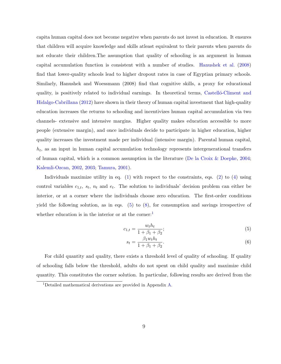capita human capital does not become negative when parents do not invest in education. It ensures that children will acquire knowledge and skills at least equivalent to their parents when parents do not educate their children. The assumption that quality of schooling is an argument in human capital accumulation function is consistent with a number of studies. Hanushek et al. (2008) find that lower-quality schools lead to higher dropout rates in case of Egyptian primary schools. Similarly, Hanushek and Woessmann (2008) find that cognitive skills, a proxy for educational quality, is positively related to individual earnings. In theoretical terms, Castello-Climent and Hidalgo-Cabrillana (2012) have shown in their theory of human capital investment that high-quality education increases the returns to schooling and incentivizes human capital accumulation via two channels- extensive and intensive margins. Higher quality makes education accessible to more people (extensive margin), and once individuals decide to participate in higher education, higher quality increases the investment made per individual (intensive margin). Parental human capital,  $h_t$ , as an input in human capital accumulation technology represents intergenerational transfers of human capital, which is a common assumption in the literature (De la Croix & Doepke, 2004; Kalemli-Ozcan, 2002, 2003; Tamura, 2001).

Individuals maximize utility in eq. (1) with respect to the constraints, eqs. (2) to (4) using control variables  $c_{1,t}$ ,  $s_t$ ,  $n_t$  and  $e_t$ . The solution to individuals' decision problem can either be interior, or at a corner where the individuals choose zero education. The first-order conditions yield the following solution, as in eqs.  $(5)$  to  $(8)$ , for consumption and savings irrespective of whether education is in the interior or at the corner:

$$
c_{1,t} = \frac{w_t h_t}{1 + \beta_1 + \beta_2};
$$
\n(5)

$$
s_t = \frac{\beta_1 w_t h_t}{1 + \beta_1 + \beta_2}.\tag{6}
$$

For child quantity and quality, there exists a threshold level of quality of schooling. If quality of schooling falls below the threshold, adults do not spent on child quality and maximize child quantity. This constitutes the corner solution. In particular, following results are derived from the

<sup>&</sup>lt;sup>1</sup>Detailed mathematical derivations are provided in Appendix  $A$ .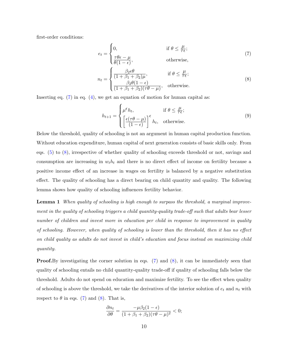first-order conditions:

$$
e_{t} = \begin{cases} 0, & \text{if } \theta \leq \frac{\mu}{\tau \epsilon}; \\ \frac{\tau \theta \epsilon - \mu}{\theta (1 - \epsilon)}, & \text{otherwise}, \end{cases}
$$
(7)  

$$
\begin{cases} \beta_{2} \epsilon \theta & \text{if } \theta < \frac{\mu}{\epsilon}. \end{cases}
$$

$$
n_{t} = \begin{cases} \frac{\mu_{2}c\sigma}{(1+\beta_{1}+\beta_{2})\mu}, & \text{if } \theta \leq \frac{\mu}{\tau\epsilon};\\ \frac{\beta_{2}\theta(1-\epsilon)}{(1+\beta_{1}+\beta_{2})(\tau\theta-\mu)}, & \text{otherwise.} \end{cases}
$$
(8)

Inserting eq.  $(7)$  in eq.  $(4)$ , we get an equation of motion for human capital as:

$$
h_{t+1} = \begin{cases} \mu^{\epsilon} h_t, & \text{if } \theta \le \frac{\mu}{\tau \epsilon};\\ \left[\frac{\epsilon(\tau \theta - \mu)}{(1 - \epsilon)}\right]^{\epsilon} h_t, & \text{otherwise.} \end{cases}
$$
(9)

Below the threshold, quality of schooling is not an argument in human capital production function. Without education expenditure, human capital of next generation consists of basic skills only. From eqs.  $(5)$  to  $(8)$ , irrespective of whether quality of schooling exceeds threshold or not, savings and consumption are increasing in  $w_t h_t$  and there is no direct effect of income on fertility because a positive income effect of an increase in wages on fertility is balanced by a negative substitution effect. The quality of schooling has a direct bearing on child quantity and quality. The following lemma shows how quality of schooling influences fertility behavior.

**Lemma 1** When quality of schooling is high enough to surpass the threshold, a marginal improvement in the quality of schooling triggers a child quantity-quality trade-off such that adults bear lesser number of children and invest more in education per child in response to improvement in quality of schooling. However, when quality of schooling is lower than the threshold, then it has no effect on child quality as adults do not invest in child's education and focus instead on maximizing child *quantity.* 

**Proof.** By investigating the corner solution in eqs.  $(7)$  and  $(8)$ , it can be immediately seen that quality of schooling entails no child quantity-quality trade-off if quality of schooling falls below the threshold. Adults do not spend on education and maximize fertility. To see the effect when quality of schooling is above the threshold, we take the derivatives of the interior solution of  $e_t$  and  $n_t$  with respect to  $\theta$  in eqs. (7) and (8). That is,

$$
\frac{\partial n_t}{\partial \theta} = \frac{-\mu \beta_2 (1 - \epsilon)}{(1 + \beta_1 + \beta_2)(\tau \theta - \mu)^2} < 0;
$$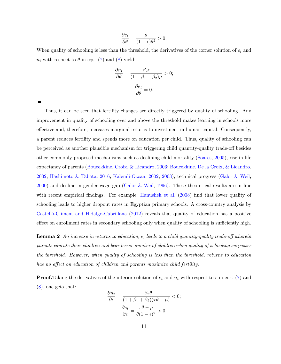$$
\frac{\partial e_t}{\partial \theta} = \frac{\mu}{(1 - \epsilon)\theta^2} > 0.
$$

When quality of schooling is less than the threshold, the derivatives of the corner solution of  $e_t$  and  $n_t$  with respect to  $\theta$  in eqs. (7) and (8) yield:

$$
\frac{\partial n_t}{\partial \theta} = \frac{\beta_2 \epsilon}{(1 + \beta_1 + \beta_2)\mu} > 0;
$$

$$
\frac{\partial e_t}{\partial \theta} = 0.
$$

П

Thus, it can be seen that fertility changes are directly triggered by quality of schooling. Any improvement in quality of schooling over and above the threshold makes learning in schools more effective and, therefore, increases marginal returns to investment in human capital. Consequently, a parent reduces fertility and spends more on education per child. Thus, quality of schooling can be perceived as another plausible mechanism for triggering child quantity-quality trade-off besides other commonly proposed mechanisms such as declining child mortality (Soares, 2005), rise in life expectancy of parents (Boucekkine, Croix, & Licandro, 2003; Boucekkine, De la Croix, & Licandro, 2002; Hashimoto & Tabata, 2016; Kalemli-Ozcan, 2002, 2003), technical progress (Galor & Weil, 2000) and decline in gender wage gap (Galor & Weil, 1996). These theoretical results are in line with recent empirical findings. For example, Hanushek et al. (2008) find that lower quality of schooling leads to higher dropout rates in Egyptian primary schools. A cross-country analysis by Castelló-Climent and Hidalgo-Cabrillana (2012) reveals that quality of education has a positive effect on enrollment rates in secondary schooling only when quality of schooling is sufficiently high.

**Lemma 2** An increase in returns to education,  $\epsilon$ , leads to a child quantity-quality trade-off wherein parents educate their children and bear lesser number of children when quality of schooling surpasses the threshold. However, when quality of schooling is less than the threshold, returns to education has no effect on education of children and parents maximize child fertility.

**Proof.** Taking the derivatives of the interior solution of  $e_t$  and  $n_t$  with respect to  $\epsilon$  in eqs. (7) and  $(8)$ , one gets that:

$$
\frac{\partial n_t}{\partial \epsilon} = \frac{-\beta_2 \theta}{(1 + \beta_1 + \beta_2)(\tau \theta - \mu)} < 0;
$$

$$
\frac{\partial e_t}{\partial \epsilon} = \frac{\tau \theta - \mu}{\theta (1 - \epsilon)^2} > 0.
$$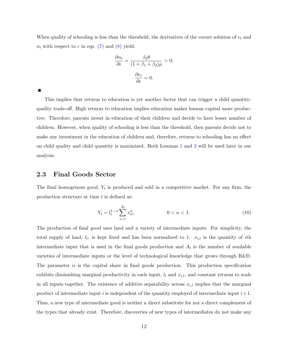When quality of schooling is less than the threshold, the derivatives of the corner solution of  $e_t$  and  $n_t$  with respect to  $\epsilon$  in eqs. (7) and (8) yield:

$$
\frac{\partial n_t}{\partial \epsilon} = \frac{\beta_2 \theta}{(1 + \beta_1 + \beta_2)\mu} > 0;
$$

$$
\frac{\partial e_t}{\partial \epsilon} = 0.
$$

This implies that returns to education is yet another factor that can trigger a child quantityquality trade-off. High returns to education implies education makes human capital more productive. Therefore, parents invest in education of their children and decide to have lesser number of children. However, when quality of schooling is less than the threshold, then parents decide not to make any investment in the education of children and, therefore, returns to schooling has no effect on child quality and child quantity is maximized. Both Lemmas 1 and 2 will be used later in our analysis.

#### 2.3 **Final Goods Sector**

The final homogenous good,  $Y_t$  is produced and sold in a competitive market. For any firm, the production structure at time  $t$  is defined as:

$$
Y_t = l_t^{1-\alpha} \sum_{i=1}^{A_t} x_{it}^{\alpha}, \qquad 0 < \alpha < 1. \tag{10}
$$

The production of final good uses land and a variety of intermediate inputs. For simplicity, the total supply of land,  $l_t$ , is kept fixed and has been normalized to 1.  $x_{i,t}$  is the quantity of *i*th intermediate input that is used in the final goods production and  $A_t$  is the number of available varieties of intermediate inputs or the level of technological knowledge that grows through R&D. The parameter  $\alpha$  is the capital share in final goods production. This production specification exhibits diminishing marginal productivity in each input,  $l_t$  and  $x_{i,t}$ , and constant returns to scale in all inputs together. The existence of additive separability across  $x_{i,t}$  implies that the marginal product of intermediate input i is independent of the quantity employed of intermediate input  $i+1$ . Thus, a new type of intermediate good is neither a direct substitute for nor a direct complement of the types that already exist. Therefore, discoveries of new types of intermediates do not make any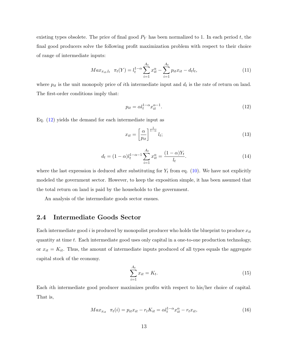existing types obsolete. The price of final good  $P<sub>Y</sub>$  has been normalized to 1. In each period t, the final good producers solve the following profit maximization problem with respect to their choice of range of intermediate inputs:

$$
Max_{x_{it},l_t} \ \pi_t(Y) = l_t^{1-\alpha} \sum_{i=1}^{A_t} x_{it}^{\alpha} - \sum_{i=1}^{A_t} p_{it} x_{it} - d_t l_t,
$$
\n(11)

where  $p_{it}$  is the unit monopoly price of ith intermediate input and  $d_t$  is the rate of return on land. The first-order conditions imply that:

$$
p_{it} = \alpha l_t^{1-\alpha} x_{it}^{\alpha-1}.
$$
\n<sup>(12)</sup>

Eq.  $(12)$  yields the demand for each intermediate input as

$$
x_{it} = \left[\frac{\alpha}{p_{it}}\right]^{\frac{1}{1-\alpha}} l_t;
$$
\n(13)

$$
d_t = (1 - \alpha)l_t^{1 - \alpha - 1} \sum_{i=1}^{A_t} x_{it}^{\alpha} = \frac{(1 - \alpha)Y_t}{l_t}.
$$
\n(14)

where the last expression is deduced after substituting for  $Y_t$  from eq. (10). We have not explicitly modeled the government sector. However, to keep the exposition simple, it has been assumed that the total return on land is paid by the households to the government.

An analysis of the intermediate goods sector ensues.

#### 2.4 **Intermediate Goods Sector**

Each intermediate good i is produced by monopolist producer who holds the blueprint to produce  $x_{it}$ quantity at time  $t$ . Each intermediate good uses only capital in a one-to-one production technology, or  $x_{it} = K_{it}$ . Thus, the amount of intermediate inputs produced of all types equals the aggregate capital stock of the economy.

$$
\sum_{i=1}^{A_t} x_{it} = K_t.
$$
\n(15)

Each ith intermediate good producer maximizes profits with respect to his/her choice of capital. That is,

$$
Max_{x_{it}} \ \pi_t(i) = p_{it}x_{it} - r_t K_{it} = \alpha l_t^{1-\alpha} x_{it}^{\alpha} - r_t x_{it}, \tag{16}
$$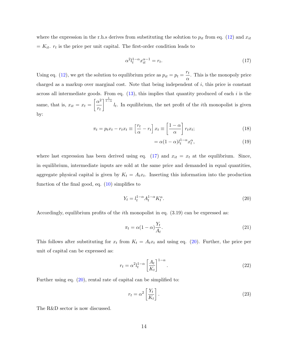where the expression in the r.h.s derives from substituting the solution to  $p_{it}$  from eq. (12) and  $x_{it}$  $= K_{it}$ .  $r_t$  is the price per unit capital. The first-order condition leads to

$$
\alpha^2 l_t^{1-\alpha} x_{it}^{\alpha-1} = r_t. \tag{17}
$$

Using eq. (12), we get the solution to equilibrium price as  $p_{it} = p_t = \frac{r_t}{\alpha}$ . This is the monopoly price charged as a markup over marginal cost. Note that being independent of  $i$ , this price is constant across all intermediate goods. From eq.  $(13)$ , this implies that quantity produced of each i is the same, that is,  $x_{it} = x_t = \left[\frac{\alpha^2}{r_t}\right]^{\frac{1}{1-\alpha}} l_t$ . In equilibrium, the net profit of the *i*th monopolist is given by:

$$
\pi_t = p_t x_t - r_t x_t \equiv \left[\frac{r_t}{\alpha} - r_t\right] x_t \equiv \left[\frac{1 - \alpha}{\alpha}\right] r_t x_t;
$$
\n(18)

$$
= \alpha (1 - \alpha) l_t^{1 - \alpha} x_t^{\alpha}, \qquad (19)
$$

where last expression has been derived using eq. (17) and  $x_{it} = x_t$  at the equilibrium. Since, in equilibrium, intermediate inputs are sold at the same price and demanded in equal quantities, aggregate physical capital is given by  $K_t = A_t x_t$ . Inserting this information into the production function of the final good, eq.  $(10)$  simplifies to

$$
Y_t = l_t^{1-\alpha} A_t^{1-\alpha} K_t^{\alpha}.
$$
\n<sup>(20)</sup>

Accordingly, equilibrium profits of the *i*th monopolist in eq.  $(3.19)$  can be expressed as:

$$
\pi_t = \alpha (1 - \alpha) \frac{Y_t}{A_t}.
$$
\n(21)

This follows after substituting for  $x_t$  from  $K_t = A_t x_t$  and using eq. (20). Further, the price per unit of capital can be expressed as:

$$
r_t = \alpha^2 l_t^{1-\alpha} \left[ \frac{A_t}{K_t} \right]^{1-\alpha}.
$$
\n(22)

Further using eq.  $(20)$ , rental rate of capital can be simplified to:

$$
r_t = \alpha^2 \left[ \frac{Y_t}{K_t} \right].
$$
\n(23)

The R&D sector is now discussed.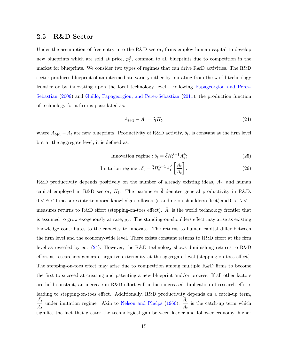#### 2.5 **R&D** Sector

Under the assumption of free entry into the  $R\&D$  sector, firms employ human capital to develop new blueprints which are sold at price,  $p_t^A$ , common to all blueprints due to competition in the market for blueprints. We consider two types of regimes that can drive  $R\&D$  activities. The  $R\&D$ sector produces blueprint of an intermediate variety either by imitating from the world technology frontier or by innovating upon the local technology level. Following Papageorgiou and Perez-Sebastian (2006) and Guilló, Papageorgiou, and Perez-Sebastian (2011), the production function of technology for a firm is postulated as:

$$
A_{t+1} - A_t = \delta_t H_t,\tag{24}
$$

where  $A_{t+1} - A_t$  are new blueprints. Productivity of R&D activity,  $\delta_t$ , is constant at the firm level but at the aggregate level, it is defined as:

$$
\text{Innovation regime}: \delta_t = \bar{\delta} H_t^{\lambda - 1} A_t^{\phi};\tag{25}
$$

$$
\text{Imitation regime}: \delta_t = \bar{\delta} H_t^{\lambda - 1} A_t^{\phi} \left[ \frac{\bar{A}_t}{A_t} \right]. \tag{26}
$$

R&D productivity depends positively on the number of already existing ideas,  $A_t$ , and human capital employed in R&D sector,  $H_t$ . The parameter  $\bar{\delta}$  denotes general productivity in R&D.  $0<\phi<1$  measures intertemporal knowledge spillovers (standing-on-shoulders effect) and  $0<\lambda<1$ measures returns to R&D effort (stepping-on-toes effect).  $\bar{A}_t$  is the world technology frontier that is assumed to grow exogenously at rate,  $g_{\bar{A}}$ . The standing-on-shoulders effect may arise as existing knowledge contributes to the capacity to innovate. The returns to human capital differ between the firm level and the economy-wide level. There exists constant returns to R&D effort at the firm level as revealed by eq.  $(24)$ . However, the R&D technology shows diminishing returns to R&D effort as researchers generate negative externality at the aggregate level (stepping-on-toes effect). The stepping-on-toes effect may arise due to competition among multiple R&D firms to become the first to succeed at creating and patenting a new blueprint and/or process. If all other factors are held constant, an increase in R&D effort will induce increased duplication of research efforts leading to stepping-on-toes effect. Additionally, R&D productivity depends on a catch-up term,  $\frac{A_t}{A_t}$  under imitation regime. Akin to Nelson and Phelps (1966),  $\frac{A_t}{A_t}$  is the catch-up term which signifies the fact that greater the technological gap between leader and follower economy, higher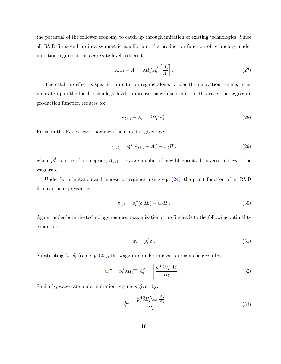the potential of the follower economy to catch up through imitation of existing technologies. Since all R&D firms end up in a symmetric equilibrium, the production function of technology under imitation regime at the aggregate level reduces to:

$$
A_{t+1} - A_t = \bar{\delta} H_t^{\lambda} A_t^{\phi} \left[ \frac{\bar{A}_t}{A_t} \right]. \tag{27}
$$

The catch-up effect is specific to imitation regime alone. Under the innovation regime, firms innovate upon the local technology level to discover new blueprints. In this case, the aggregate production function reduces to:

$$
A_{t+1} - A_t = \bar{\delta} H_t^{\lambda} A_t^{\phi}.
$$
\n(28)

Firms in the  $R\&D$  sector maximize their profits, given by:

$$
\pi_{t,A} = p_t^A (A_{t+1} - A_t) - w_t H_t,\tag{29}
$$

where  $p_t^A$  is price of a blueprint,  $A_{t+1} - A_t$  are number of new blueprints discovered and  $w_t$  is the wage rate.

Under both imitation and innovation regimes, using eq.  $(24)$ , the profit function of an R&D firm can be expressed as:

$$
\pi_{t,A} = p_t^A(\delta_t H_t) - w_t H_t. \tag{30}
$$

Again, under both the technology regimes, maximization of profits leads to the following optimality condition:

$$
w_t = p_t^A \delta_t. \tag{31}
$$

Substituting for  $\delta_t$  from eq. (25), the wage rate under innovation regime is given by:

$$
w_t^{in} = p_t^A \bar{\delta} H_t^{\lambda - 1} A_t^{\phi} = \left[ \frac{p_t^A \bar{\delta} H_t^{\lambda} A_t^{\phi}}{H_t} \right].
$$
 (32)

Similarly, wage rate under imitation regime is given by:

$$
w_t^{im} = \frac{p_t^A \bar{\delta} H_t^{\lambda} A_t^{\phi} \frac{A_t}{A_t}}{H_t}.
$$
\n(33)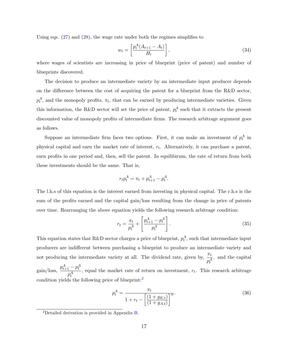Using eqs.  $(27)$  and  $(28)$ , the wage rate under both the regimes simplifies to

$$
w_t = \left[\frac{p_t^A (A_{t+1} - A_t)}{H_t}\right],\tag{34}
$$

where wages of scientists are increasing in price of blueprint (price of patent) and number of blueprints discovered.

The decision to produce an intermediate variety by an intermediate input producer depends on the difference between the cost of acquiring the patent for a blueprint from the R&D sector,  $p_t^A$ , and the monopoly profits,  $\pi_t$ , that can be earned by producing intermediate varieties. Given this information, the R&D sector will set the price of patent,  $p_t^A$  such that it extracts the present discounted value of monopoly profits of intermediate firms. The research arbitrage argument goes as follows.

Suppose an intermediate firm faces two options. First, it can make an investment of  $p_t^A$  in physical capital and earn the market rate of interest,  $r_t$ . Alternatively, it can purchase a patent, earn profits in one period and, then, sell the patent. In equilibirum, the rate of return from both these investments should be the same. That is,

$$
r_t p_t^A = \pi_t + p_{t+1}^A - p_t^A.
$$

The l.h.s of this equation is the interest earned from investing in physical capital. The r.h.s is the sum of the profits earned and the capital gain/loss resulting from the change in price of patents over time. Rearranging the above equation yields the following research arbitrage condition:

$$
r_t = \frac{\pi_t}{p_t^A} + \left[\frac{p_{t+1}^A - p_t^A}{p_t^A}\right].
$$
\n(35)

This equation states that R&D sector charges a price of blueprint,  $p_t^A$ , such that intermediate input producers are indifferent between purchasing a blueprint to produce an intermediate variety and not producing the intermediate variety at all. The dividend rate, given by,  $\frac{\pi_t}{n^4}$  and the capital gain/loss,  $\frac{p_{t+1}^A - p_t^A}{p_t^A}$ , equal the market rate of return on investment,  $r_t$ . This research arbitrage condition yields the following price of blueprint: $^2$ 

$$
p_t^A = \frac{\pi_t}{1 + r_t - \left[\frac{(1 + g_{K,t})}{(1 + g_{A,t})}\right]^\alpha}.
$$
\n(36)

<sup>&</sup>lt;sup>2</sup>Detailed derivation is provided in Appendix B.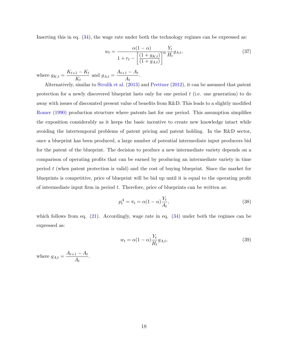Inserting this in eq.  $(34)$ , the wage rate under both the technology regimes can be expressed as:

$$
w_t = \frac{\alpha (1 - \alpha)}{1 + r_t - \left[ \frac{(1 + g_{K,t})}{(1 + g_{A,t})} \right]^{\alpha}} \frac{Y_t}{H_t} g_{A,t},\tag{37}
$$

where  $g_{K,t} = \frac{K_{t+1} - K_t}{K_t}$  and  $g_{A,t} = \frac{A_{t+1} - A_t}{A_t}$ .

Alternatively, similar to Strulik et al. (2013) and Prettner (2012), it can be assumed that patent protection for a newly discovered blueprint lasts only for one period  $t$  (i.e. one generation) to do away with issues of discounted present value of benefits from R&D. This leads to a slightly modified Romer (1990) production structure where patents last for one period. This assumption simplifies the exposition considerably as it keeps the basic incentive to create new knowledge intact while avoiding the intertemporal problems of patent pricing and patent holding. In the R&D sector, once a blueprint has been produced, a large number of potential intermediate input producers bid for the patent of the blueprint. The decision to produce a new intermediate variety depends on a comparison of operating profits that can be earned by producing an intermediate variety in time period  $t$  (when patent protection is valid) and the cost of buying blueprint. Since the market for blue prints is competitive, price of blue print will be bid up until it is equal to the operating profit of intermediate input firm in period  $t$ . Therefore, price of blueprints can be written as:

$$
p_t^A = \pi_t = \alpha (1 - \alpha) \frac{Y_t}{A_t},\tag{38}
$$

which follows from eq.  $(21)$ . Accordingly, wage rate in eq.  $(34)$  under both the regimes can be expressed as:

$$
w_t = \alpha (1 - \alpha) \frac{Y_t}{H_t} g_{A,t},\tag{39}
$$

where  $g_{A,t} = \frac{A_{t+1} - A_t}{A_t}$ .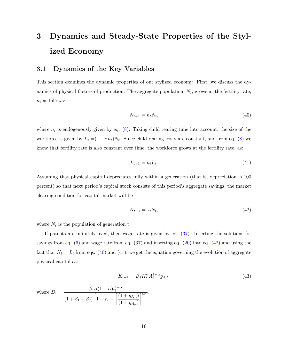## 3 Dynamics and Steady-State Properties of the Stylized Economy

#### $3.1$ Dynamics of the Key Variables

This section examines the dynamic properties of our stylized economy. First, we discuss the dynamics of physical factors of production. The aggregate population,  $N_t$ , grows at the fertility rate,  $n_t$  as follows:

$$
N_{t+1} = n_t N_t,\tag{40}
$$

where  $n_t$  is endogenously given by eq. (8). Taking child rearing time into account, the size of the workforce is given by  $L_t = (1 - \tau n_t)N_t$ . Since child rearing costs are constant, and from eq. (8) we know that fertility rate is also constant over time, the workforce grows at the fertility rate, as:

$$
L_{t+1} = n_t L_t. \tag{41}
$$

Assuming that physical capital depreciates fully within a generation (that is, depreciation is 100 percent) so that next period's capital stock consists of this period's aggregate savings, the market clearing condition for capital market will be

$$
K_{t+1} = s_t N_t,\tag{42}
$$

where  $N_t$  is the population of generation t.

If patents are infinitely-lived, then wage rate is given by eq.  $(37)$ . Inserting the solutions for savings from eq.  $(6)$  and wage rate from eq.  $(37)$  and inserting eq.  $(20)$  into eq.  $(42)$  and using the fact that  $N_t = L_t$  from eqs. (40) and (41), we get the equation governing the evolution of aggregate physical capital as:

$$
K_{t+1} = B_1 K_t^{\alpha} A_t^{1-\alpha} g_{A,t}, \tag{43}
$$

where 
$$
B_1 = \frac{\beta_1 \alpha (1 - \alpha) l_t^{1 - \alpha}}{(1 + \beta_1 + \beta_2) \left[1 + r_t - \left[\frac{(1 + g_{K,t})}{(1 + g_{A,t})}\right]^{\alpha}\right]}.
$$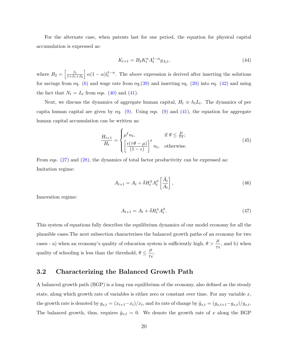For the alternate case, when patents last for one period, the equation for physical capital accumulation is expressed as:

$$
K_{t+1} = B_2 K_t^{\alpha} A_t^{1-\alpha} g_{A,t},
$$
\n(44)

where  $B_2 = \left[\frac{\beta_1}{1+\beta_1+\beta_2}\right] \alpha (1-\alpha) l_t^{1-\alpha}$ . The above expression is derived after inserting the solutions for savings from eq.  $(6)$  and wage rate from eq.  $(39)$  and inserting eq.  $(20)$  into eq.  $(42)$  and using the fact that  $N_t = L_t$  from eqs. (40) and (41).

Next, we discuss the dynamics of aggregate human capital,  $H_t \equiv h_t L_t$ . The dynamics of per capita human capital are given by eq.  $(9)$ . Using eqs.  $(9)$  and  $(41)$ , the equation for aggregate human capital accumulation can be written as:

$$
\frac{H_{t+1}}{H_t} = \begin{cases} \mu^{\epsilon} n_t, & \text{if } \theta \le \frac{\mu}{\tau \epsilon};\\ \left[\frac{\epsilon(\tau \theta - \mu)}{(1 - \epsilon)}\right]^{\epsilon} n_t, & \text{otherwise.} \end{cases}
$$
\n(45)

From eqs.  $(27)$  and  $(28)$ , the dynamics of total factor productivity can be expressed as: Imitation regime:

$$
A_{t+1} = A_t + \bar{\delta} H_t^{\lambda} A_t^{\phi} \left[ \frac{\bar{A}_t}{A_t} \right],
$$
\n(46)

Innovation regime:

$$
A_{t+1} = A_t + \bar{\delta} H_t^{\lambda} A_t^{\phi}.
$$
\n<sup>(47)</sup>

This system of equations fully describes the equilibrium dynamics of our model economy for all the plausible cases. The next subsection characterises the balanced growth paths of an economy for two cases - a) when an economy's quality of education system is sufficiently high,  $\theta > \frac{\mu}{\tau}$ , and b) when quality of schooling is less than the threshold,  $\theta \leq \frac{\mu}{\tau \epsilon}$ .

#### $3.2$ Characterizing the Balanced Growth Path

A balanced growth path (BGP) is a long run equilibrium of the economy, also defined as the steady state, along which growth rate of variables is either zero or constant over time. For any variable  $x$ , the growth rate is denoted by  $g_{x,t} = (x_{t+1} - x_t)/x_t$ , and its rate of change by  $\tilde{g}_{x,t} = (g_{x,t+1} - g_{x,t})/g_{x,t}$ . The balanced growth, thus, requires  $\tilde{g}_{x,t} = 0$ . We denote the growth rate of x along the BGP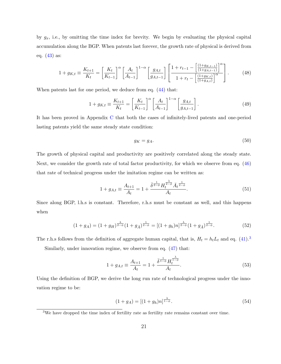by  $g_x$ , i.e., by omitting the time index for brevity. We begin by evaluating the physical capital accumulation along the BGP. When patents last forever, the growth rate of physical is derived from eq.  $(43)$  as:

$$
1 + g_{K,t} \equiv \frac{K_{t+1}}{K_t} = \left[\frac{K_t}{K_{t-1}}\right]^\alpha \left[\frac{A_t}{A_{t-1}}\right]^{1-\alpha} \left[\frac{g_{A,t}}{g_{A,t-1}}\right] \left[\frac{1 + r_{t-1} - \left[\frac{(1 + g_{K,t-1})}{(1 + g_{A,t-1})}\right]^\alpha}{1 + r_t - \left[\frac{(1 + g_{K,t})}{(1 + g_{A,t})}\right]^\alpha}\right].
$$
 (48)

When patents last for one period, we deduce from eq.  $(44)$  that:

$$
1 + g_{K,t} \equiv \frac{K_{t+1}}{K_t} = \left[\frac{K_t}{K_{t-1}}\right]^\alpha \left[\frac{A_t}{A_{t-1}}\right]^{1-\alpha} \left[\frac{g_{A,t}}{g_{A,t-1}}\right].
$$
 (49)

It has been proved in Appendix  $C$  that both the cases of infinitely-lived patents and one-period lasting patents yield the same steady state condition:

$$
g_K = g_A. \tag{50}
$$

The growth of physical capital and productivity are positively correlated along the steady state. Next, we consider the growth rate of total factor productivity, for which we observe from eq. (46) that rate of technical progress under the imitation regime can be written as:

$$
1 + g_{A,t} \equiv \frac{A_{t+1}}{A_t} = 1 + \frac{\bar{\delta}^{\frac{1}{2-\phi}} H_t^{\frac{\lambda}{2-\phi}} \bar{A}_t^{\frac{1}{2-\phi}}}{A_t}.
$$
\n(51)

Since along BGP, l.h.s is constant. Therefore, r.h.s must be constant as well, and this happens when

$$
(1+g_A) = (1+g_H)^{\frac{\lambda}{2-\phi}} (1+g_{\bar{A}})^{\frac{1}{2-\phi}} = [(1+g_h)n]^{\frac{\lambda}{2-\phi}} (1+g_{\bar{A}})^{\frac{1}{2-\phi}}.
$$
\n(52)

The r.h.s follows from the definition of aggregate human capital, that is,  $H_t = h_t L_t$  and eq. (41).<sup>3</sup>

Similarly, under innovation regime, we observe from eq.  $(47)$  that:

$$
1 + g_{A,t} \equiv \frac{A_{t+1}}{A_t} = 1 + \frac{\overline{\delta^{\frac{1}{1-\phi}}} H_t^{\frac{\widehat{\delta}}{1-\phi}}}{A_t}.
$$
\n(53)

Using the definition of BGP, we derive the long run rate of technological progress under the innovation regime to be:

$$
(1 + g_A) = [(1 + g_h)n]^{\frac{\lambda}{1 - \phi}}.
$$
\n(54)

 $3$ We have dropped the time index of fertility rate as fertility rate remains constant over time.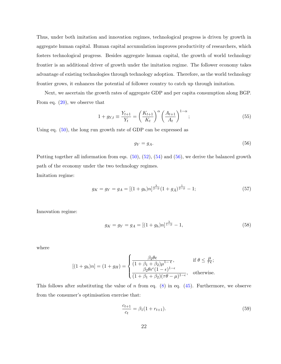Thus, under both imitation and innovation regimes, technological progress is driven by growth in aggregate human capital. Human capital accumulation improves productivity of researchers, which fosters technological progress. Besides aggregate human capital, the growth of world technology frontier is an additional driver of growth under the imitation regime. The follower economy takes advantage of existing technologies through technology adoption. Therefore, as the world technology frontier grows, it enhances the potential of follower country to catch up through imitation.

Next, we ascertain the growth rates of aggregate GDP and per capita consumption along BGP. From eq.  $(20)$ , we observe that

$$
1 + g_{Y,t} \equiv \frac{Y_{t+1}}{Y_t} = \left(\frac{K_{t+1}}{K_t}\right)^{\alpha} \left(\frac{A_{t+1}}{A_t}\right)^{1-\alpha};
$$
\n(55)

Using eq.  $(50)$ , the long run growth rate of GDP can be expressed as

$$
g_Y = g_A. \tag{56}
$$

Putting together all information from eqs.  $(50)$ ,  $(52)$ ,  $(54)$  and  $(56)$ , we derive the balanced growth path of the economy under the two technology regimes. Imitation regime:

$$
g_K = g_Y = g_A = [(1 + g_h)n]^{\frac{\lambda}{2 - \phi}} (1 + g_{\bar{A}})^{\frac{1}{2 - \phi}} - 1; \tag{57}
$$

Innovation regime:

$$
g_K = g_Y = g_A = [(1 + g_h)n]^{\frac{\lambda}{1 - \phi}} - 1,
$$
\n(58)

where

$$
[(1+g_h)n] = (1+g_H) = \begin{cases} \frac{\beta_2 \theta \epsilon}{(1+\beta_1+\beta_2)\mu^{1-\epsilon}}, & \text{if } \theta \le \frac{\mu}{\tau \epsilon} \\ \frac{\beta_2 \theta \epsilon^{\epsilon}(1-\epsilon)^{1-\epsilon}}{(1+\beta_1+\beta_2)(\tau \theta - \mu)^{1-\epsilon}}, & \text{otherwise} \end{cases}
$$

This follows after substituting the value of n from eq.  $(8)$  in eq.  $(45)$ . Furthermore, we observe from the consumer's optimisation exercise that:

$$
\frac{c_{t+1}}{c_t} = \beta_1 (1 + r_{t+1}).\tag{59}
$$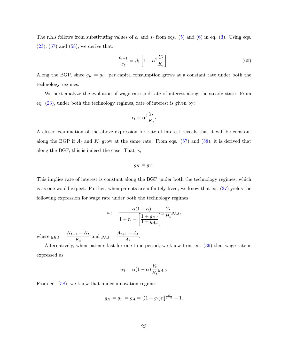The r.h.s follows from substituting values of  $c_t$  and  $s_t$  from eqs. (5) and (6) in eq. (3). Using eqs.  $(23)$ ,  $(57)$  and  $(58)$ , we derive that:

$$
\frac{c_{t+1}}{c_t} = \beta_1 \left[ 1 + \alpha^2 \frac{Y_t}{K_t} \right].
$$
\n
$$
(60)
$$

Along the BGP, since  $g_K = g_Y$ , per capita consumption grows at a constant rate under both the technology regimes.

We next analyze the evolution of wage rate and rate of interest along the steady state. From eq.  $(23)$ , under both the technology regimes, rate of interest is given by:

$$
r_t = \alpha^2 \frac{Y_t}{K_t}.
$$

A closer examination of the above expression for rate of interest reveals that it will be constant along the BGP if  $A_t$  and  $K_t$  grow at the same rate. From eqs. (57) and (58), it is derived that along the BGP, this is indeed the case. That is,

$$
g_K = g_Y
$$

This implies rate of interest is constant along the BGP under both the technology regimes, which is as one would expect. Further, when patents are infinitely-lived, we know that eq. (37) yields the following expression for wage rate under both the technology regimes:

$$
w_t = \frac{\alpha(1-\alpha)}{1+r_t - \left[\frac{1+g_{K,t}}{1+g_{A,t}}\right]^\alpha} \frac{Y_t}{H_t} g_{A,t},
$$

where  $g_{K,t} = \frac{K_{t+1} - K_t}{K_t}$  and  $g_{A,t} = \frac{A_{t+1} - A_t}{A_t}$ .

Alternatively, when patents last for one time-period, we know from eq. (39) that wage rate is expressed as

$$
w_t = \alpha (1 - \alpha) \frac{Y_t}{H_t} g_{A,t}.
$$

From eq.  $(58)$ , we know that under innovation regime:

$$
g_K = g_Y = g_A = [(1 + g_h)n]^{\frac{\lambda}{1 - \phi}} - 1.
$$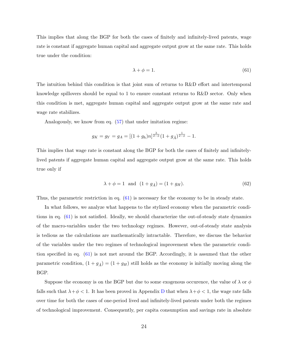This implies that along the BGP for both the cases of finitely and infinitely-lived patents, wage rate is constant if aggregate human capital and aggregate output grow at the same rate. This holds true under the condition:

$$
\lambda + \phi = 1. \tag{61}
$$

The intuition behind this condition is that joint sum of returns to R&D effort and intertemporal knowledge spillovers should be equal to 1 to ensure constant returns to R&D sector. Only when this condition is met, aggregate human capital and aggregate output grow at the same rate and wage rate stabilizes.

Analogously, we know from eq.  $(57)$  that under imitation regime:

$$
g_K = g_Y = g_A = [(1 + g_h)n]^{\frac{\lambda}{2 - \phi}} (1 + g_{\bar{A}})^{\frac{1}{2 - \phi}} - 1.
$$

This implies that wage rate is constant along the BGP for both the cases of finitely and infinitelylived patents if aggregate human capital and aggregate output grow at the same rate. This holds true only if

$$
\lambda + \phi = 1 \text{ and } (1 + g_{\bar{A}}) = (1 + g_H). \tag{62}
$$

Thus, the parametric restriction in eq.  $(61)$  is necessary for the economy to be in steady state.

In what follows, we analyze what happens to the stylized economy when the parametric conditions in eq.  $(61)$  is not satisfied. Ideally, we should characterize the out-of-steady state dynamics of the macro-variables under the two technology regimes. However, out-of-steady state analysis is tedious as the calculations are mathematically intractable. Therefore, we discuss the behavior of the variables under the two regimes of technological improvement when the parametric condition specified in eq. (61) is not met around the BGP. Accordingly, it is assumed that the other parametric condition,  $(1 + g_{\overline{A}}) = (1 + g_H)$  still holds as the economy is initially moving along the BGP.

Suppose the economy is on the BGP but due to some exogenous occurence, the value of  $\lambda$  or  $\phi$ falls such that  $\lambda + \phi < 1$ . It has been proved in Appendix D that when  $\lambda + \phi < 1$ , the wage rate falls over time for both the cases of one-period lived and infinitely-lived patents under both the regimes of technological improvement. Consequently, per capita consumption and savings rate in absolute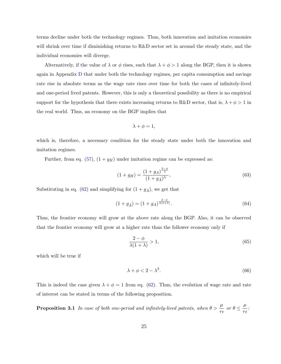terms decline under both the technology regimes. Thus, both innovation and imitation economies will shrink over time if diminishing returns to R&D sector set in around the steady state, and the individual economies will diverge.

Alternatively, if the value of  $\lambda$  or  $\phi$  rises, such that  $\lambda + \phi > 1$  along the BGP, then it is shown again in Appendix D that under both the technology regimes, per capita consumption and savings rate rise in absolute terms as the wage rate rises over time for both the cases of infinitely-lived and one-period lived patents. However, this is only a theoretical possibility as there is no empirical support for the hypothesis that there exists increasing returns to R&D sector, that is,  $\lambda + \phi > 1$  in the real world. Thus, an economy on the BGP implies that

$$
\lambda + \phi = 1,
$$

which is, therefore, a necessary condition for the steady state under both the innovation and imitation regimes.

Further, from eq.  $(57)$ ,  $(1+g_H)$  under imitation regime can be expressed as:

$$
(1+g_H) = \frac{(1+g_A)^{\frac{2-\phi}{\lambda}}}{(1+g_{\bar{A}})^{\lambda}},
$$
\n(63)

Substituting in eq. (62) and simplifying for  $(1 + g_{\overline{A}})$ , we get that

$$
(1 + g_{\bar{A}}) = (1 + g_A)^{\frac{2-\phi}{\lambda(1+\lambda)}}.
$$
\n(64)

Thus, the frontier economy will grow at the above rate along the BGP. Also, it can be observed that the frontier economy will grow at a higher rate than the follower economy only if

$$
\frac{2-\phi}{\lambda(1+\lambda)} > 1,\tag{65}
$$

which will be true if

$$
\lambda + \phi < 2 - \lambda^2. \tag{66}
$$

This is indeed the case given  $\lambda + \phi = 1$  from eq. (62). Thus, the evolution of wage rate and rate of interest can be stated in terms of the following proposition.

**Proposition 3.1** In case of both one-period and infinitely-lived patents, when  $\theta > \frac{\mu}{\tau \epsilon}$  or  $\theta \leq \frac{\mu}{\tau \epsilon}$ .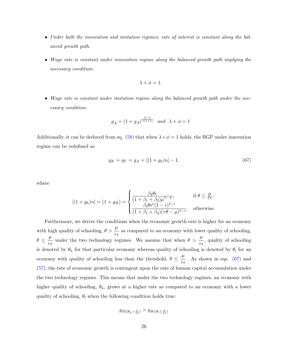- Under both the innovation and imitation regimes, rate of interest is constant along the balanced growth path.
- Wage rate is constant under innovation regime along the balanced growth path implying the necessary condition:

$$
\lambda + \phi = 1.
$$

• Wage rate is constant under imitation regime along the balanced growth path under the necessary condition:

$$
g_{\bar{A}} = (1 + g_A)^{\frac{2-\phi}{\lambda(1+\lambda)}} \quad \text{and} \quad \lambda + \phi = 1
$$

Additionally, it can be deduced from eq. (58) that when  $\lambda + \phi = 1$  holds, the BGP under innovation regime can be redefined as

$$
g_K = g_Y = g_A = [(1 + g_h)n] - 1,\t(67)
$$

where

$$
[(1+g_h)n] = (1+g_H) = \begin{cases} \frac{\beta_2 \theta \epsilon}{(1+\beta_1+\beta_2)\mu^{1-\epsilon}}, & \text{if } \theta \le \frac{\mu}{\tau \epsilon};\\ \frac{\beta_2 \theta \epsilon^{\epsilon}(1-\epsilon)^{1-\epsilon}}{(1+\beta_1+\beta_2)(\tau \theta - \mu)^{1-\epsilon}}, & \text{otherwise} \end{cases}
$$

Furthermore, we derive the conditions when the economic growth rate is higher for an economy with high quality of schooling,  $\theta > \frac{\mu}{\tau \epsilon}$  as compared to an economy with lower quality of schooling.  $\theta \leq \frac{\mu}{\tau \epsilon}$  under the two technology regimes. We assume that when  $\theta > \frac{\mu}{\tau \epsilon}$ , quality of schooling is denoted by  $\theta_h$  for that particular economy whereas quality of schooling is denoted by  $\theta_l$  for an economy with quality of schooling less than the threshold,  $\theta \leq \frac{\mu}{\tau \epsilon}$ . As shown in eqs. (67) and (57), the rate of economic growth is contingent upon the rate of human capital accumulation under the two technology regimes. This means that under the two technology regimes, an economy with higher quality of schooling,  $\theta_h$ , grows at a higher rate as compared to an economy with a lower quality of schooling,  $\theta_l$  when the following condition holds true:

$$
g_H(\theta_h > \frac{\mu}{\tau_{\epsilon}}) > g_H(\theta_l \leq \frac{\mu}{\tau_{\epsilon}})
$$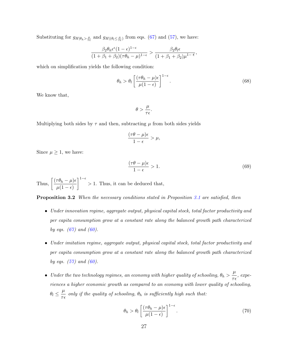Substituting for  $g_{H|\theta_h > \frac{\mu}{\tau_{\epsilon}}}$  and  $g_{H|(\theta_l \leq \frac{\mu}{\tau_{\epsilon}})}$  from eqs. (67) and (57), we have:

$$
\frac{\beta_2 \theta_h \epsilon^{\epsilon} (1 - \epsilon)^{1 - \epsilon}}{(1 + \beta_1 + \beta_2)(\tau \theta_h - \mu)^{1 - \epsilon}} > \frac{\beta_2 \theta_l \epsilon}{(1 + \beta_1 + \beta_2)\mu^{1 - \epsilon}},
$$

which on simplification yields the following condition:

$$
\theta_h > \theta_l \left[ \frac{(\tau \theta_h - \mu) \epsilon}{\mu (1 - \epsilon)} \right]^{1 - \epsilon}.
$$
\n(68)

We know that,

$$
\theta > \frac{\mu}{\tau \epsilon}
$$

Multiplying both sides by  $\tau$  and then, subtracting  $\mu$  from both sides yields

$$
\frac{(\tau\theta - \mu)\epsilon}{1 - \epsilon} > \mu,
$$

Since  $\mu \geq 1$ , we have:

$$
\frac{(\tau\theta - \mu)\epsilon}{1 - \epsilon} > 1.
$$
\n(69)

Thus,  $\left[\frac{(\tau \theta_h - \mu)\epsilon}{\mu(1-\epsilon)}\right]^{1-\epsilon} > 1$ . Thus, it can be deduced that,

**Proposition 3.2** When the necessary conditions stated in Proposition 3.1 are satisfied, then

- Under innovation regime, aggregate output, physical capital stock, total factor productivity and per capita consumption grow at a constant rate along the balanced growth path characterized by eqs.  $(67)$  and  $(60)$ .
- Under imitation regime, aggregate output, physical capital stock, total factor productivity and per capita consumption grow at a constant rate along the balanced growth path characterized by eqs.  $(57)$  and  $(60)$ .
- Under the two technology regimes, an economy with higher quality of schooling,  $\theta_h > \frac{\mu}{\tau \epsilon}$ , experiences a higher economic growth as compared to an economy with lower quality of schooling,  $\theta_l \leq \frac{\mu}{\tau \epsilon}$  only if the quality of schooling,  $\theta_h$  is sufficiently high such that:

$$
\theta_h > \theta_l \left[ \frac{(\tau \theta_h - \mu)\epsilon}{\mu(1 - \epsilon)} \right]^{1 - \epsilon}.
$$
\n(70)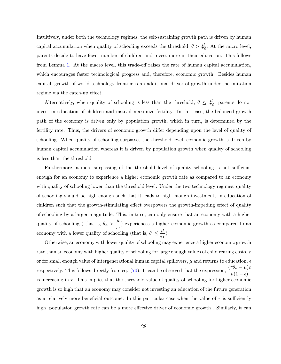Intuitively, under both the technology regimes, the self-sustaining growth path is driven by human capital accumulation when quality of schooling exceeds the threshold,  $\theta > \frac{\mu}{\tau \epsilon}$ . At the micro level, parents decide to have fewer number of children and invest more in their education. This follows from Lemma 1. At the macro level, this trade-off raises the rate of human capital accumulation, which encourages faster technological progress and, therefore, economic growth. Besides human capital, growth of world technology frontier is an additional driver of growth under the imitation regime via the catch-up effect.

Alternatively, when quality of schooling is less than the threshold,  $\theta \leq \frac{\mu}{\tau \epsilon}$ , parents do not invest in education of children and instead maximize fertility. In this case, the balanced growth path of the economy is driven only by population growth, which in turn, is determined by the fertility rate. Thus, the drivers of economic growth differ depending upon the level of quality of schooling. When quality of schooling surpasses the threshold level, economic growth is driven by human capital accumulation whereas it is driven by population growth when quality of schooling is less than the threshold.

Furthermore, a mere surpassing of the threshold level of quality schooling is not sufficient enough for an economy to experience a higher economic growth rate as compared to an economy with quality of schooling lower than the threshold level. Under the two technology regimes, quality of schooling should be high enough such that it leads to high enough investments in education of children such that the growth-stimulating effect overpowers the growth-impeding effect of quality of schooling by a larger magnitude. This, in turn, can only ensure that an economy with a higher quality of schooling (that is,  $\theta_h > \frac{\mu}{\tau \epsilon}$ ) experiences a higher economic growth as compared to an economy with a lower quality of schooling (that is,  $\theta_l \leq \frac{\mu}{\tau \epsilon}$ ).

Otherwise, an economy with lower quality of schooling may experience a higher economic growth rate than an economy with higher quality of schooling for large enough values of child rearing costs,  $\tau$ or for small enough value of intergenerational human capital spillovers,  $\mu$  and returns to education,  $\epsilon$ respectively. This follows directly from eq. (70). It can be observed that the expression,  $\frac{(\tau \theta_h - \mu)\epsilon}{\mu(1 - \epsilon)}$ is increasing in  $\tau$ . This implies that the threshold value of quality of schooling for higher economic growth is so high that an economy may consider not investing an education of the future generation as a relatively more beneficial outcome. In this particular case when the value of  $\tau$  is sufficiently high, population growth rate can be a more effective driver of economic growth. Similarly, it can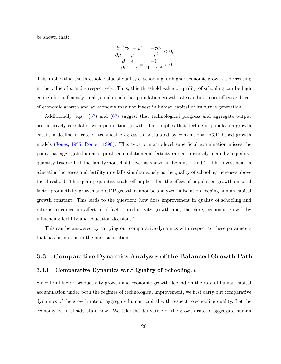be shown that:

$$
\frac{\partial}{\partial \mu} \frac{(\tau \theta_h - \mu)}{\mu} = \frac{-\tau \theta_h}{\mu^2} < 0; \\
\frac{\partial}{\partial \epsilon} \frac{\epsilon}{1 - \epsilon} = \frac{-1}{(1 - \epsilon)^2} < 0.
$$

This implies that the threshold value of quality of schooling for higher economic growth is decreasing in the value of  $\mu$  and  $\epsilon$  respectively. Thus, this threshold value of quality of schooling can be high enough for sufficiently small  $\mu$  and  $\epsilon$  such that population growth rate can be a more effective driver of economic growth and an economy may not invest in human capital of its future generation.

Additionally, eqs. (57) and (67) suggest that technological progress and aggregate output are positively correlated with population growth. This implies that decline in population growth entails a decline in rate of technical progress as postulated by conventional R&D based growth models (Jones, 1995; Romer, 1990). This type of macro-level superficial examination misses the point that aggregate human capital accumulation and fertility rate are inversely related via qualityquantity trade-off at the family/household level as shown in Lemma 1 and 2. The investment in education increases and fertility rate falls simultaneously as the quality of schooling increases above the threshold. This quality-quantity trade-off implies that the effect of population growth on total factor productivity growth and GDP growth cannot be analyzed in isolation keeping human capital growth constant. This leads to the question: how does improvement in quality of schooling and returns to education affect total factor productivity growth and, therefore, economic growth by influencing fertility and education decisions?

This can be answered by carrying out comparative dynamics with respect to these parameters that has been done in the next subsection.

#### 3.3 **Comparative Dynamics Analyses of the Balanced Growth Path**

#### Comparative Dynamics w.r.t Quality of Schooling,  $\theta$ 3.3.1

Since total factor productivity growth and economic growth depend on the rate of human capital accumulation under both the regimes of technological improvement, we first carry out comparative dynamics of the growth rate of aggregate human capital with respect to schooling quality. Let the economy be in steady state now. We take the derivative of the growth rate of aggregate human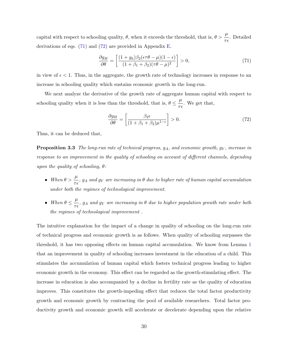capital with respect to schooling quality,  $\theta$ , when it exceeds the threshold, that is,  $\theta > \frac{\mu}{\tau_{\epsilon}}$ . Detailed derivations of eqs.  $(71)$  and  $(72)$  are provided in Appendix E.

$$
\frac{\partial g_H}{\partial \theta} = \left[ \frac{(1+g_h)\beta_2(\epsilon \tau \theta - \mu)(1-\epsilon)}{(1+\beta_1+\beta_2)(\tau \theta - \mu)^2} \right] > 0,\tag{71}
$$

in view of  $\epsilon$  < 1. Thus, in the aggregate, the growth rate of technology increases in response to an increase in schooling quality which sustains economic growth in the long-run.

We next analyze the derivative of the growth rate of aggregate human capital with respect to schooling quality when it is less than the threshold, that is,  $\theta \leq \frac{\mu}{\tau \epsilon}$ . We get that,

$$
\frac{\partial g_H}{\partial \theta} = \left[ \frac{\beta_2 \epsilon}{(1 + \beta_1 + \beta_2)\mu^{1-\epsilon}} \right] > 0. \tag{72}
$$

Thus, it can be deduced that,

**Proposition 3.3** The long-run rate of technical progress,  $g_A$ , and economic growth,  $g_Y$ , increase in response to an improvement in the quality of schooling on account of different channels, depending upon the quality of schooling,  $\theta$ :

- When  $\theta > \frac{\mu}{\tau \epsilon}$ ,  $g_A$  and  $g_Y$  are increasing in  $\theta$  due to higher rate of human capital accumulation under both the regimes of technological improvement.
- When  $\theta \leq \frac{\mu}{\tau_{\epsilon}}$ ,  $g_A$  and  $g_Y$  are increasing in  $\theta$  due to higher population growth rate under both the regimes of technological improvement.

The intuitive explanation for the impact of a change in quality of schooling on the long-run rate of technical progress and economic growth is as follows. When quality of schooling surpasses the threshold, it has two opposing effects on human capital accumulation. We know from Lemma 1 that an improvement in quality of schooling increases investment in the education of a child. This stimulates the accumulation of human capital which fosters technical progress leading to higher economic growth in the economy. This effect can be regarded as the growth-stimulating effect. The increase in education is also accompanied by a decline in fertility rate as the quality of education improves. This constitutes the growth-impeding effect that reduces the total factor productivity growth and economic growth by contracting the pool of available researchers. Total factor productivity growth and economic growth will accelerate or decelerate depending upon the relative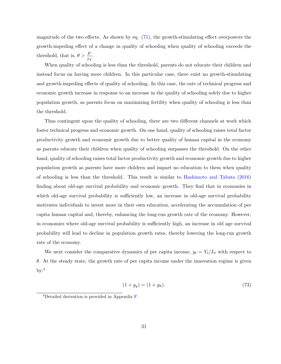magnitude of the two effects. As shown by eq.  $(71)$ , the growth-stimulating effect overpowers the growth-impeding effect of a change in quality of schooling when quality of schooling exceeds the threshold, that is,  $\theta > \frac{\mu}{\tau \epsilon}$ .

When quality of schooling is less than the threshold, parents do not educate their children and instead focus on having more children. In this particular case, there exist no growth-stimulating and growth-impeding effects of quality of schooling. In this case, the rate of technical progress and economic growth increase in response to an increase in the quality of schooling solely due to higher population growth, as parents focus on maximizing fertility when quality of schooling is less than the threshold.

Thus contingent upon the quality of schooling, there are two different channels at work which foster technical progress and economic growth. On one hand, quality of schooling raises total factor productivity growth and economic growth due to better quality of human capital in the economy as parents educate their children when quality of schooling surpasses the threshold. On the other hand, quality of schooling raises total factor productivity growth and economic growth due to higher population growth as parents have more children and impart no education to them when quality of schooling is less than the threshold. This result is similar to Hashimoto and Tabata (2016) finding about old-age survival probability and economic growth. They find that in economies in which old-age survival probability is sufficiently low, an increase in old-age survival probability motivates individuals to invest more in their own education, accelerating the accumulation of per capita human capital and, thereby, enhancing the long-run growth rate of the economy. However, in economies where old-age survival probability is sufficiently high, an increase in old age survival probability will lead to decline in population growth rates, thereby lowering the long-run growth rate of the economy.

We next consider the comparative dynamics of per capita income,  $y_t = Y_t/L_t$  with respect to  $\theta$ . At the steady state, the growth rate of per capita income under the innovation regime is given  $\mathrm{bv:}^4$ 

$$
(1 + g_y) = (1 + g_h). \t(73)
$$

<sup>&</sup>lt;sup>4</sup>Detailed derivation is provided in Appendix  $F$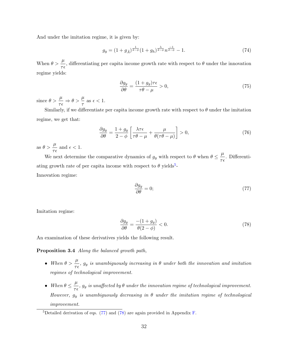And under the imitation regime, it is given by:

$$
g_y = (1 + g_{\bar{A}})^{\frac{1}{2 - \phi}} (1 + g_h)^{\frac{\lambda}{2 - \phi}} n^{\frac{-1}{2 - \phi}} - 1.
$$
 (74)

When  $\theta > \frac{\mu}{\tau \epsilon}$ , differentiating per capita income growth rate with respect to  $\theta$  under the innovation regime yields:

$$
\frac{\partial g_y}{\partial \theta} = \frac{(1 + g_y)\tau \epsilon}{\tau \theta - \mu} > 0,\tag{75}
$$

since  $\theta > \frac{\mu}{\tau \epsilon} \Rightarrow \theta > \frac{\mu}{\tau}$  as  $\epsilon < 1$ .

Similarly, if we differentiate per capita income growth rate with respect to  $\theta$  under the imitation regime, we get that:

$$
\frac{\partial g_y}{\partial \theta} = \frac{1 + g_y}{2 - \phi} \left[ \frac{\lambda \tau \epsilon}{\tau \theta - \mu} + \frac{\mu}{\theta (\tau \theta - \mu)} \right] > 0,
$$
\n(76)

as  $\theta > \frac{\mu}{\tau \epsilon}$  and  $\epsilon < 1$ .

We next determine the comparative dynamics of  $g_y$  with respect to  $\theta$  when  $\theta \leq \frac{\mu}{\tau \epsilon}$ . Differentiating growth rate of per capita income with respect to  $\theta$  yields<sup>5</sup>-Innovation regime:

$$
\frac{\partial g_y}{\partial \theta} = 0; \tag{77}
$$

Imitation regime:

$$
\frac{\partial g_y}{\partial \theta} = \frac{-(1+g_y)}{\theta(2-\phi)} < 0. \tag{78}
$$

An examination of these derivatives yields the following result.

**Proposition 3.4** Along the balanced growth path,

- When  $\theta > \frac{\mu}{\tau \epsilon}$ ,  $g_y$  is unambiguously increasing in  $\theta$  under both the innovation and imitation regimes of technological improvement.
- When  $\theta \leq \frac{\mu}{\tau \epsilon}$ ,  $g_y$  is unaffected by  $\theta$  under the innovation regime of technological improvement. However,  $g_y$  is unambiguously decreasing in  $\theta$  under the imitation regime of technological *improvement.*

<sup>&</sup>lt;sup>5</sup>Detailed derivation of eqs. (77) and (78) are again provided in Appendix F.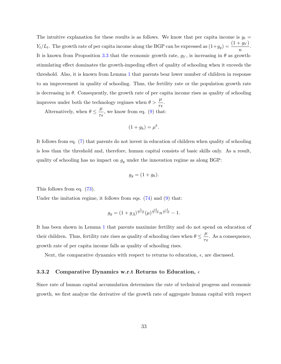The intuitive explanation for these results is as follows. We know that per capita income is  $y_t =$  $Y_t/L_t$ . The growth rate of per capita income along the BGP can be expressed as  $(1+g_y) = \frac{(1+g_Y)}{n}$ . It is known from Proposition 3.3 that the economic growth rate,  $g_Y$ , is increasing in  $\theta$  as growthstimulating effect dominates the growth-impeding effect of quality of schooling when it exceeds the threshold. Also, it is known from Lemma 1 that parents bear lower number of children in response to an improvement in quality of schooling. Thus, the fertility rate or the population growth rate is decreasing in  $\theta$ . Consequently, the growth rate of per capita income rises as quality of schooling improves under both the technology regimes when  $\theta > \frac{\mu}{\tau \epsilon}$ .

Alternatively, when  $\theta \leq \frac{\mu}{\tau \epsilon}$ , we know from eq. (9) that:

$$
(1+g_h)=\mu^{\epsilon}
$$

It follows from eq. (7) that parents do not invest in education of children when quality of schooling is less than the threshold and, therefore, human capital consists of basic skills only. As a result, quality of schooling has no impact on  $g_y$  under the innovation regime as along BGP:

$$
g_y = (1 + g_h).
$$

This follows from eq.  $(73)$ .

Under the imitation regime, it follows from eqs.  $(74)$  and  $(9)$  that:

$$
g_y = (1 + g_{\bar{A}})^{\frac{1}{2-\phi}} (\mu)^{\frac{\epsilon \lambda}{2-\phi}} n^{\frac{-1}{2-\phi}} - 1.
$$

It has been shown in Lemma 1 that parents maximize fertility and do not spend on education of their children. Thus, fertility rate rises as quality of schooling rises when  $\theta \leq \frac{\mu}{\tau \epsilon}$ . As a consequence, growth rate of per capita income falls as quality of schooling rises.

Next, the comparative dynamics with respect to returns to education,  $\epsilon$ , are discussed.

#### 3.3.2 Comparative Dynamics w.r.t Returns to Education,  $\epsilon$

Since rate of human capital accumulation determines the rate of technical progress and economic growth, we first analyze the derivative of the growth rate of aggregate human capital with respect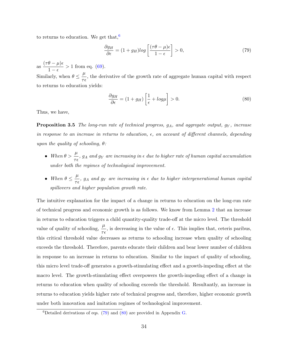to returns to education. We get that,<sup>6</sup>

$$
\frac{\partial g_H}{\partial \epsilon} = (1 + g_H) \log \left[ \frac{(\tau \theta - \mu)\epsilon}{1 - \epsilon} \right] > 0,\tag{79}
$$

as  $\frac{(\tau\theta - \mu)\epsilon}{1-\epsilon} > 1$  from eq. (69). Similarly, when  $\theta \leq \frac{\mu}{\tau \epsilon}$ , the derivative of the growth rate of aggregate human capital with respect to returns to education yields:

$$
\frac{\partial g_H}{\partial \epsilon} = (1 + g_H) \left[ \frac{1}{\epsilon} + \log \mu \right] > 0. \tag{80}
$$

Thus, we have,

**Proposition 3.5** The long-run rate of technical progress,  $g_A$ , and aggregate output,  $g_Y$ , increase in response to an increase in returns to education,  $\epsilon$ , on account of different channels, depending upon the quality of schooling,  $\theta$ :

- When  $\theta > \frac{\mu}{\tau \epsilon}$ ,  $g_A$  and  $g_Y$  are increasing in  $\epsilon$  due to higher rate of human capital accumulation under both the regimes of technological improvement.
- When  $\theta \leq \frac{\mu}{\tau \epsilon}$ ,  $g_A$  and  $g_Y$  are increasing in  $\epsilon$  due to higher intergenerational human capital spillovers and higher population growth rate.

The intuitive explanation for the impact of a change in returns to education on the long-run rate of technical progress and economic growth is as follows. We know from Lemma 2 that an increase in returns to education triggers a child quantity-quality trade-off at the micro level. The threshold value of quality of schooling,  $\frac{\mu}{\tau \epsilon}$ , is decreasing in the value of  $\epsilon$ . This implies that, ceteris paribus, this critical threshold value decreases as returns to schooling increase when quality of schooling exceeds the threshold. Therefore, parents educate their children and bear lower number of children in response to an increase in returns to education. Similar to the impact of quality of schooling. this micro level trade-off generates a growth-stimulating effect and a growth-impeding effect at the macro level. The growth-stimulating effect overpowers the growth-impeding effect of a change in returns to education when quality of schooling exceeds the threshold. Resultantly, an increase in returns to education yields higher rate of technical progress and, therefore, higher economic growth under both innovation and imitation regimes of technological improvement.

<sup>&</sup>lt;sup>6</sup>Detailed derivations of eqs.  $(79)$  and  $(80)$  are provided in Appendix G.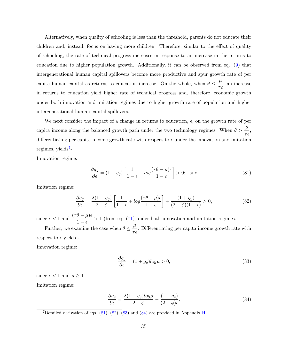Alternatively, when quality of schooling is less than the threshold, parents do not educate their children and, instead, focus on having more children. Therefore, similar to the effect of quality of schooling, the rate of technical progress increases in response to an increase in the returns to education due to higher population growth. Additionally, it can be observed from eq. (9) that intergenerational human capital spillovers become more productive and spur growth rate of per capita human capital as returns to education increase. On the whole, when  $\theta \leq \frac{\mu}{\tau_f}$ , an increase in returns to education yield higher rate of technical progress and, therefore, economic growth under both innovation and imitation regimes due to higher growth rate of population and higher intergenerational human capital spillovers.

We next consider the impact of a change in returns to education,  $\epsilon$ , on the growth rate of per capita income along the balanced growth path under the two technology regimes. When  $\theta > \frac{\mu}{\pi s}$ , differentiating per capita income growth rate with respect to  $\epsilon$  under the innovation and imitation regimes, yields<sup>7</sup>-

Innovation regime:

$$
\frac{\partial g_y}{\partial \epsilon} = (1 + g_y) \left[ \frac{1}{1 - \epsilon} + \log \frac{(\tau \theta - \mu)\epsilon}{1 - \epsilon} \right] > 0; \text{ and } (81)
$$

Imitation regime:

$$
\frac{\partial g_y}{\partial \epsilon} = \frac{\lambda (1 + g_y)}{2 - \phi} \left[ \frac{1}{1 - \epsilon} + \log \frac{(\tau \theta - \mu)\epsilon}{1 - \epsilon} \right] + \frac{(1 + g_y)}{(2 - \phi)(1 - \epsilon)} > 0,\tag{82}
$$

since  $\epsilon < 1$  and  $\frac{(\tau \theta - \mu)\epsilon}{1 - \epsilon} > 1$  (from eq. (71) under both innovation and imitation regimes.

Further, we examine the case when  $\theta \leq \frac{\mu}{\tau \epsilon}$ . Differentiating per capita income growth rate with respect to  $\epsilon$  yields -

Innovation regime:

$$
\frac{\partial g_y}{\partial \epsilon} = (1 + g_y) \log \mu > 0,\tag{83}
$$

since  $\epsilon < 1$  and  $\mu \geq 1$ .

Imitation regime:

$$
\frac{\partial g_y}{\partial \epsilon} = \frac{\lambda (1 + g_y) \log \mu}{2 - \phi} - \frac{(1 + g_y)}{(2 - \phi)\epsilon}.
$$
\n(84)

<sup>7</sup>Detailed derivation of eqs. (81), (82), (83) and (84) are provided in Appendix H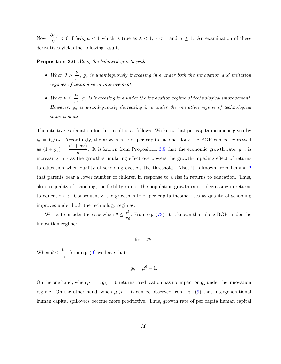Now,  $\frac{\partial g_y}{\partial \epsilon}$  < 0 if  $\lambda \epsilon \log \mu$  < 1 which is true as  $\lambda$  < 1,  $\epsilon$  < 1 and  $\mu \ge 1$ . An examination of these derivatives yields the following results.

## **Proposition 3.6** Along the balanced growth path,

- When  $\theta > \frac{\mu}{\tau_{\epsilon}}$ ,  $g_y$  is unambiguously increasing in  $\epsilon$  under both the innovation and imitation regimes of technological improvement.
- When  $\theta \leq \frac{\mu}{\tau \epsilon}$ ,  $g_y$  is increasing in  $\epsilon$  under the innovation regime of technological improvement. However,  $g_y$  is unambiguously decreasing in  $\epsilon$  under the imitation regime of technological *improvement.*

The intuitive explanation for this result is as follows. We know that per capita income is given by  $y_t = Y_t/L_t$ . Accordingly, the growth rate of per capita income along the BGP can be expressed as  $(1+g_y) = \frac{(1+g_Y)}{n}$ . It is known from Proposition 3.5 that the economic growth rate,  $g_Y$ , is increasing in  $\epsilon$  as the growth-stimulating effect overpowers the growth-impeding effect of returns to education when quality of schooling exceeds the threshold. Also, it is known from Lemma 2 that parents bear a lower number of children in response to a rise in returns to education. Thus, akin to quality of schooling, the fertility rate or the population growth rate is decreasing in returns to education,  $\epsilon$ . Consequently, the growth rate of per capita income rises as quality of schooling improves under both the technology regimes.

We next consider the case when  $\theta \leq \frac{\mu}{\tau \epsilon}$ . From eq. (73), it is known that along BGP, under the innovation regime:

$$
g_y = g_h.
$$

When  $\theta \leq \frac{\mu}{\tau \epsilon}$ , from eq. (9) we have that:

$$
g_h = \mu^{\mathbf{c}} - 1.
$$

On the one hand, when  $\mu = 1$ ,  $g_h = 0$ , returns to education has no impact on  $g_y$  under the innovation regime. On the other hand, when  $\mu > 1$ , it can be observed from eq. (9) that intergenerational human capital spillovers become more productive. Thus, growth rate of per capita human capital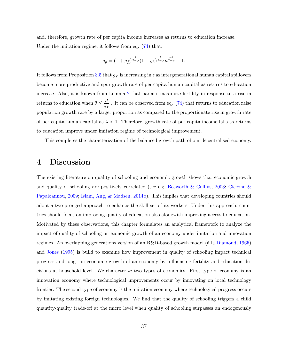and, therefore, growth rate of per capita income increases as returns to education increase. Under the imitation regime, it follows from eq.  $(74)$  that:

$$
g_y = (1 + g_{\bar{A}})^{\frac{1}{2 - \phi}} (1 + g_h)^{\frac{\lambda}{2 - \phi}} n^{\frac{-1}{2 - \phi}} - 1.
$$

It follows from Proposition 3.5 that  $g_Y$  is increasing in  $\epsilon$  as intergenerational human capital spillovers become more productive and spur growth rate of per capita human capital as returns to education increase. Also, it is known from Lemma 2 that parents maximize fertility in response to a rise in returns to education when  $\theta \leq \frac{\mu}{\tau \epsilon}$ . It can be observed from eq. (74) that returns to education raise population growth rate by a larger proportion as compared to the proportionate rise in growth rate of per capita human capital as  $\lambda < 1$ . Therefore, growth rate of per capita income falls as returns to education improve under imitation regime of technological improvement.

This completes the characterization of the balanced growth path of our decentralised economy.

#### **Discussion** 4

The existing literature on quality of schooling and economic growth shows that economic growth and quality of schooling are positively correlated (see e.g. Bosworth & Collins, 2003; Ciccone & Papaioannou, 2009; Islam, Ang, & Madsen, 2014b). This implies that developing countries should adopt a two-pronged approach to enhance the skill set of its workers. Under this approach, countries should focus on improving quality of education also along with improving access to education. Motivated by these observations, this chapter formulates an analytical framework to analyze the impact of quality of schooling on economic growth of an economy under imitation and innovation regimes. An overlapping generations version of an R&D-based growth model (a la Diamond, 1965) and Jones (1995) is build to examine how improvement in quality of schooling impact technical progress and long-run economic growth of an economy by influencing fertility and education decisions at household level. We characterize two types of economies. First type of economy is an innovation economy where technological improvements occur by innovating on local technology frontier. The second type of economy is the imitation economy where technological progress occurs by imitating existing foreign technologies. We find that the quality of schooling triggers a child quantity-quality trade-off at the micro level when quality of schooling surpasses an endogenously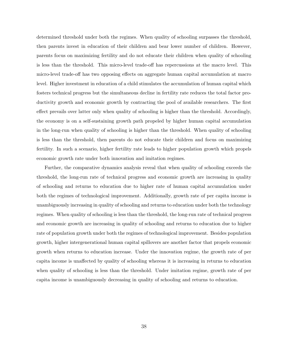determined threshold under both the regimes. When quality of schooling surpasses the threshold, then parents invest in education of their children and bear lower number of children. However, parents focus on maximizing fertility and do not educate their children when quality of schooling is less than the threshold. This micro-level trade-off has repercussions at the macro level. This micro-level trade-off has two opposing effects on aggregate human capital accumulation at macro level. Higher investment in education of a child stimulates the accumulation of human capital which fosters technical progress but the simultaneous decline in fertility rate reduces the total factor productivity growth and economic growth by contracting the pool of available researchers. The first effect prevails over latter only when quality of schooling is higher than the threshold. Accordingly, the economy is on a self-sustaining growth path propeled by higher human capital accumulation in the long-run when quality of schooling is higher than the threshold. When quality of schooling is less than the threshold, then parents do not educate their children and focus on maximizing fertility. In such a scenario, higher fertility rate leads to higher population growth which propels economic growth rate under both innovation and imitation regimes.

Further, the comparative dynamics analysis reveal that when quality of schooling exceeds the threshold, the long-run rate of technical progress and economic growth are increasing in quality of schooling and returns to education due to higher rate of human capital accumulation under both the regimes of technological improvement. Additionally, growth rate of per capita income is unambiguously increasing in quality of schooling and returns to education under both the technology regimes. When quality of schooling is less than the threshold, the long-run rate of technical progress and economic growth are increasing in quality of schooling and returns to education due to higher rate of population growth under both the regimes of technological improvement. Besides population growth, higher intergenerational human capital spillovers are another factor that propels economic growth when returns to education increase. Under the innovation regime, the growth rate of per capita income is unaffected by quality of schooling whereas it is increasing in returns to education when quality of schooling is less than the threshold. Under imitation regime, growth rate of per capita income is unambiguously decreasing in quality of schooling and returns to education.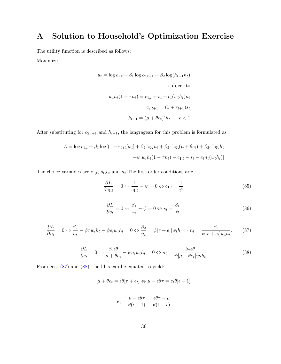### Solution to Household's Optimization Exercise  $\mathbf{A}$

The utility function is described as follows:

Maximize

$$
u_t = \log c_{1,t} + \beta_1 \log c_{2,t+1} + \beta_2 \log(h_{t+1}n_t)
$$
  
subject to  

$$
w_t h_t (1 - \tau n_t) = c_{1,t} + s_t + e_t (w_t h_t) n_t
$$

$$
c_{2,t+1} = (1 + r_{t+1}) s_t
$$

$$
h_{t+1} = (\mu + \theta e_t)^{\epsilon} h_t, \quad \epsilon < 1
$$

After substituting for  $c_{2,t+1}$  and  $h_{t+1}$ , the langragean for this problem is formulated as :

$$
L = \log c_{1,t} + \beta_1 \log[(1 + r_{t+1})s_t] + \beta_2 \log n_t + \beta_2 \epsilon \log(\mu + \theta e_t) + \beta_2 \epsilon \log h_t + \psi[w_t h_t (1 - \tau n_t) - c_{1,t} - s_t - e_t n_t (w_t h_t)]
$$

The choice variables are  $c_{1,t}$ ,  $s_t, e_t$  and  $n_t$ . The first-order conditions are:

$$
\frac{\partial L}{\partial c_{1,t}} = 0 \Leftrightarrow \frac{1}{c_{1,t}} - \psi = 0 \Leftrightarrow c_{1,t} = \frac{1}{\psi}.\tag{85}
$$

$$
\frac{\partial L}{\partial s_t} = 0 \Leftrightarrow \frac{\beta_1}{s_t} - \psi = 0 \Leftrightarrow s_t = \frac{\beta_1}{\psi}.\tag{86}
$$

$$
\frac{\partial L}{\partial n_t} = 0 \Leftrightarrow \frac{\beta_2}{n_t} - \psi \tau w_t h_t - \psi e_t w_t h_t = 0 \Leftrightarrow \frac{\beta_2}{n_t} = \psi[\tau + e_t] w_t h_t \Leftrightarrow n_t = \frac{\beta_2}{\psi[\tau + e_t] w_t h_t}.\tag{87}
$$

$$
\frac{\partial L}{\partial e_t} = 0 \Leftrightarrow \frac{\beta_2 \epsilon \theta}{\mu + \theta e_t} - \psi n_t w_t h_t = 0 \Leftrightarrow n_t = \frac{\beta_2 \epsilon \theta}{\psi[\mu + \theta e_t] w_t h_t}.
$$
\n(88)

From eqs.  $(87)$  and  $(88)$ , the l.h.s can be equated to yield:

$$
\mu + \theta e_t = \epsilon \theta[\tau + e_t] \Leftrightarrow \mu - \epsilon \theta \tau = e_t \theta[\epsilon - 1]
$$

$$
e_t = \frac{\mu - \epsilon \theta \tau}{\theta(\epsilon - 1)} = \frac{\epsilon \theta \tau - \mu}{\theta(1 - \epsilon)}
$$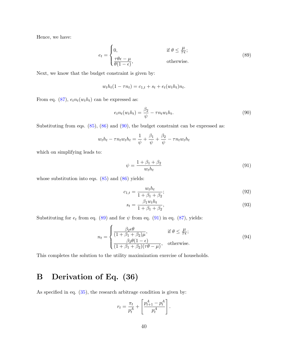Hence, we have:

$$
e_{t} = \begin{cases} 0, & \text{if } \theta \le \frac{\mu}{\tau \epsilon}; \\ \frac{\tau \theta \epsilon - \mu}{\theta (1 - \epsilon)}, & \text{otherwise.} \end{cases}
$$
(89)

Next, we know that the budget constraint is given by:

$$
w_t h_t (1 - \tau n_t) = c_{1,t} + s_t + e_t (w_t h_t) n_t.
$$

From eq. (87),  $e_t n_t(w_t h_t)$  can be expressed as:

$$
e_t n_t(w_t h_t) = \frac{\beta_2}{\psi} - \tau n_t w_t h_t.
$$
\n(90)

Substituting from eqs.  $(85)$ ,  $(86)$  and  $(90)$ , the budget constraint can be expressed as:

$$
w_t h_t - \tau n_t w_t h_t = \frac{1}{\psi} + \frac{\beta_1}{\psi} + \frac{\beta_2}{\psi} - \tau n_t w_t h_t
$$

which on simplifying leads to:

$$
\psi = \frac{1 + \beta_1 + \beta_2}{w_t h_t} \tag{91}
$$

whose substitution into eqs.  $(85)$  and  $(86)$  yields:

$$
c_{1,t} = \frac{w_t h_t}{1 + \beta_1 + \beta_2};
$$
\n(92)

$$
s_t = \frac{\beta_1 w_t h_t}{1 + \beta_1 + \beta_2},\tag{93}
$$

Substituting for  $e_t$  from eq. (89) and for  $\psi$  from eq. (91) in eq. (87), yields:

$$
n_{t} = \begin{cases} \frac{\beta_{2}\epsilon\theta}{(1+\beta_{1}+\beta_{2})\mu}, & \text{if } \theta \leq \frac{\mu}{\tau\epsilon};\\ \frac{\beta_{2}\theta(1-\epsilon)}{(1+\beta_{1}+\beta_{2})(\tau\theta-\mu)}, & \text{otherwise.} \end{cases}
$$
(94)

This completes the solution to the utility maximization exercise of households.

## Derivation of Eq. (36)  $\bf{B}$

As specified in eq.  $(35)$ , the research arbitrage condition is given by:

$$
r_t = \frac{\pi_t}{p_t^A} + \left[ \frac{p_{t+1}^A - p_t^A}{p_t^A} \right].
$$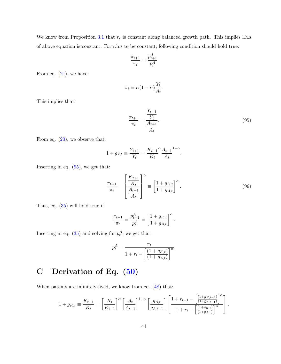We know from Proposition 3.1 that  $r_t$  is constant along balanced growth path. This implies l.h.s of above equation is constant. For r.h.s to be constant, following condition should hold true:

$$
\frac{\pi_{t+1}}{\pi_t} = \frac{p_{t+1}^A}{p_t^A}
$$

From eq.  $(21)$ , we have:

$$
\pi_t = \alpha (1 - \alpha) \frac{Y_t}{A_t}
$$

This implies that:

$$
\frac{\pi_{t+1}}{\pi_t} = \frac{\frac{Y_{t+1}}{Y_t}}{\frac{A_{t+1}}{A_t}}.\tag{95}
$$

From eq.  $(20)$ , we observe that:

$$
1 + g_{Y,t} \equiv \frac{Y_{t+1}}{Y_t} = \frac{K_{t+1}}{K_t} \frac{A_{t+1}}{A_t}^{1-\alpha}
$$

Inserting in eq.  $(95)$ , we get that:

$$
\frac{\pi_{t+1}}{\pi_t} = \left[\frac{\frac{K_{t+1}}{K_t}}{\frac{A_{t+1}}{A_t}}\right]^\alpha \equiv \left[\frac{1 + g_{K,t}}{1 + g_{A,t}}\right]^\alpha.
$$
\n(96)

Thus, eq.  $(35)$  will hold true if

$$
\frac{\pi_{t+1}}{\pi_t} = \frac{p_{t+1}^A}{p_t^A} = \left[\frac{1 + g_{K,t}}{1 + g_{A,t}}\right]^\alpha
$$

Inserting in eq. (35) and solving for  $p_t^A,$  we get that:

$$
p_t^A = \frac{\pi_t}{1 + r_t - \left[\frac{(1 + g_{K,t})}{(1 + g_{A,t})}\right]^{\alpha}}
$$

## Derivation of Eq. (50)  $\mathbf C$

When patents are infinitely-lived, we know from eq.  $(48)$  that:

$$
1 + g_{K,t} \equiv \frac{K_{t+1}}{K_t} = \left[\frac{K_t}{K_{t-1}}\right]^\alpha \left[\frac{A_t}{A_{t-1}}\right]^{1-\alpha} \left[\frac{g_{A,t}}{g_{A,t-1}}\right] \left[\frac{1 + r_{t-1} - \left[\frac{(1 + g_{K,t-1})}{(1 + g_{A,t-1})}\right]^\alpha}{1 + r_t - \left[\frac{(1 + g_{K,t})}{(1 + g_{A,t})}\right]^\alpha}\right]
$$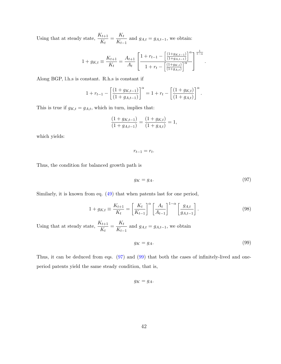Using that at steady state,  $\frac{K_{t+1}}{K_t}=\frac{K_t}{K_{t-1}}$  and  $g_{A,t}=g_{A,t-1},$  we obtain:

$$
1 + g_{K,t} \equiv \frac{K_{t+1}}{K_t} = \frac{A_{t+1}}{A_t} \left[ \frac{1 + r_{t-1} - \left[ \frac{(1 + g_{K,t-1})}{(1 + g_{A,t-1})} \right]^\alpha}{1 + r_t - \left[ \frac{(1 + g_{K,t})}{(1 + g_{A,t})} \right]^\alpha} \right]^{\frac{1}{1 - \alpha}}
$$

Along BGP, l.h.s is constant. R.h.s is constant if

$$
1 + r_{t-1} - \left[ \frac{(1 + g_{K,t-1})}{(1 + g_{A,t-1})} \right]^\alpha = 1 + r_t - \left[ \frac{(1 + g_{K,t})}{(1 + g_{A,t})} \right]^\alpha.
$$

This is true if  $g_{K,t} = g_{A,t}$ , which in turn, implies that:

$$
\frac{(1+g_{K,t-1})}{(1+g_{A,t-1})} = \frac{(1+g_{K,t})}{(1+g_{A,t})} = 1,
$$

which yields:

 $r_{t-1} = r_t.$ 

Thus, the condition for balanced growth path is

$$
g_K = g_A. \tag{97}
$$

Similarly, it is known from eq.  $(49)$  that when patents last for one period,

$$
1 + g_{K,t} \equiv \frac{K_{t+1}}{K_t} = \left[\frac{K_t}{K_{t-1}}\right]^\alpha \left[\frac{A_t}{A_{t-1}}\right]^{1-\alpha} \left[\frac{g_{A,t}}{g_{A,t-1}}\right].
$$
\n(98)

Using that at steady state,  $\frac{K_{t+1}}{K_t}=\frac{K_t}{K_{t-1}}$  and  $g_{A,t}=g_{A,t-1},$  we obtain

$$
g_K = g_A. \tag{99}
$$

Thus, it can be deduced from eqs.  $(97)$  and  $(99)$  that both the cases of infinitely-lived and oneperiod patents yield the same steady condition, that is,

$$
g_K = g_A.
$$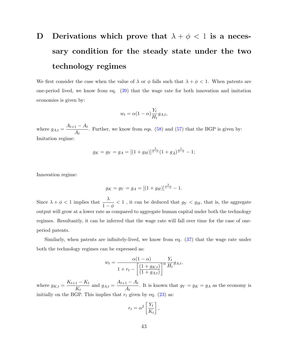## Derivations which prove that  $\lambda + \phi < 1$  is a neces-D sary condition for the steady state under the two technology regimes

We first consider the case when the value of  $\lambda$  or  $\phi$  falls such that  $\lambda + \phi < 1$ . When patents are one-period lived, we know from eq.  $(39)$  that the wage rate for both innovation and imitation economies is given by:

$$
w_t = \alpha (1 - \alpha) \frac{Y_t}{H_t} g_{A,t},
$$

where  $g_{A,t} = \frac{A_{t+1} - A_t}{A_t}$ . Further, we know from eqs. (58) and (57) that the BGP is given by: Imitation regime:

$$
g_K = g_Y = g_A = [(1 + g_H)]^{\frac{\lambda}{2 - \phi}} (1 + g_{\bar{A}})^{\frac{1}{2 - \phi}} - 1;
$$

Innovation regime:

$$
g_K = g_Y = g_A = [(1 + g_H)]^{\frac{\lambda}{1 - \phi}} - 1.
$$

Since  $\lambda + \phi < 1$  implies that  $\frac{\lambda}{1-\phi} < 1$ , it can be deduced that  $g_Y < g_H$ , that is, the aggregate output will grow at a lower rate as compared to aggregate human capital under both the technology regimes. Resultantly, it can be inferred that the wage rate will fall over time for the case of oneperiod patents.

Similarly, when patents are infinitely-lived, we know from eq. (37) that the wage rate under both the technology regimes can be expressed as:

$$
w_t = \frac{\alpha(1-\alpha)}{1+r_t - \left[\frac{(1+g_{K,t})}{(1+g_{A,t})}\right]^\alpha} \frac{Y_t}{H_t} g_{A,t},
$$

where  $g_{K,t} = \frac{K_{t+1} - K_t}{K_t}$  and  $g_{A,t} = \frac{A_{t+1} - A_t}{A_t}$ . It is known that  $g_Y = g_K = g_A$  as the economy is initially on the BGP. This implies that  $r_t$  given by eq. (23) as:

$$
r_t = \alpha^2 \left[ \frac{Y_t}{K_t} \right],
$$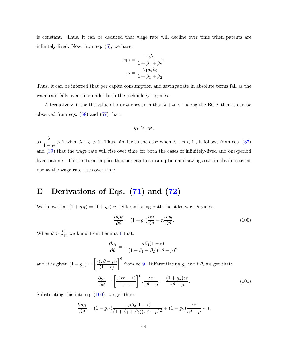is constant. Thus, it can be deduced that wage rate will decline over time when patents are infinitely-lived. Now, from eq.  $(5)$ , we have:

$$
c_{1,t} = \frac{w_t h_t}{1 + \beta_1 + \beta_2};
$$

$$
s_t = \frac{\beta_1 w_t h_t}{1 + \beta_1 + \beta_2}.
$$

Thus, it can be inferred that per capita consumption and savings rate in absolute terms fall as the wage rate falls over time under both the technology regimes.

Alternatively, if the the value of  $\lambda$  or  $\phi$  rises such that  $\lambda + \phi > 1$  along the BGP, then it can be observed from eqs.  $(58)$  and  $(57)$  that:

$$
g_Y > g_H,
$$

as  $\frac{\lambda}{1-\phi} > 1$  when  $\lambda + \phi > 1$ . Thus, similar to the case when  $\lambda + \phi < 1$ , it follows from eqs. (37) and  $(39)$  that the wage rate will rise over time for both the cases of infinitely-lived and one-period lived patents. This, in turn, implies that per capita consumption and savings rate in absolute terms rise as the wage rate rises over time.

## Derivations of Eqs. (71) and (72)  $\bf E$

We know that  $(1 + g_H) = (1 + g_h) \cdot n$ . Differentiating both the sides w.r.t  $\theta$  yields:

$$
\frac{\partial g_H}{\partial \theta} = (1 + g_h) \frac{\partial n}{\partial \theta} + n \frac{\partial g_h}{\partial \theta}.
$$
\n(100)

When  $\theta > \frac{\mu}{\tau \epsilon}$ , we know from Lemma 1 that:

$$
\frac{\partial n_t}{\partial \theta} = -\frac{\mu \beta_2 (1 - \epsilon)}{(1 + \beta_1 + \beta_2)(\tau \theta - \mu)^2}
$$

and it is given  $(1+g_h) = \left[\frac{\epsilon(\tau\theta-\mu)}{(1-\epsilon)}\right]^{\epsilon}$  from eq 9. Differentiating  $g_h$  w.r.t  $\theta$ , we get that:

$$
\frac{\partial g_h}{\partial \theta} = \left[ \frac{\epsilon(\tau \theta - \epsilon)}{1 - \epsilon} \right]^{\epsilon} \cdot \frac{\epsilon \tau}{\tau \theta - \mu} = \frac{(1 + g_h)\epsilon \tau}{\tau \theta - \mu}.
$$
\n(101)

Substituting this into eq.  $(100)$ , we get that:

$$
\frac{\partial g_H}{\partial \theta} = (1 + g_H) \frac{-\mu \beta_2 (1 - \epsilon)}{(1 + \beta_1 + \beta_2)(\tau \theta - \mu)^2} + (1 + g_h) \frac{\epsilon \tau}{\tau \theta - \mu} * n,
$$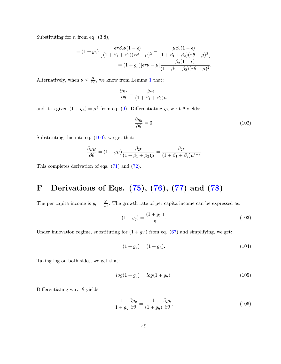Substituting for *n* from eq.  $(3.8)$ ,

$$
= (1+g_h) \left[ \frac{\epsilon \tau \beta_2 \theta (1-\epsilon)}{(1+\beta_1+\beta_2)(\tau \theta - \mu)^2} - \frac{\mu \beta_2 (1-\epsilon)}{(1+\beta_1+\beta_2)(\tau \theta - \mu)^2} \right]
$$

$$
= (1+g_h) [\epsilon \tau \theta - \mu] \frac{\beta_2 (1-\epsilon)}{(1+\beta_1+\beta_2)(\tau \theta - \mu)^2}.
$$

Alternatively, when  $\theta \leq \frac{\mu}{\tau \epsilon}$ , we know from Lemma 1 that:

$$
\frac{\partial n_t}{\partial \theta} = \frac{\beta_2 \epsilon}{(1 + \beta_1 + \beta_2)\mu},
$$

and it is given  $(1+g_h) = \mu^{\epsilon}$  from eq. (9). Differentiating  $g_h$  w.r.t  $\theta$  yields:

$$
\frac{\partial g_h}{\partial \theta} = 0. \tag{102}
$$

Substituting this into eq.  $(100)$ , we get that:

$$
\frac{\partial g_H}{\partial \theta} = (1 + g_H) \frac{\beta_2 \epsilon}{(1 + \beta_1 + \beta_2)\mu} = \frac{\beta_2 \epsilon}{(1 + \beta_1 + \beta_2)\mu^{1-\epsilon}}
$$

This completes derivation of eqs.  $(71)$  and  $(72)$ .

## Derivations of Eqs. (75), (76), (77) and (78)  ${\bf F}$

The per capita income is  $y_t = \frac{Y_t}{L_t}$ . The growth rate of per capita income can be expressed as:

$$
(1+g_y) = \frac{(1+g_Y)}{n}.
$$
\n(103)

Under innovation regime, substituting for  $(1 + g_Y)$  from eq. (67) and simplifying, we get:

$$
(1 + g_y) = (1 + g_h). \t(104)
$$

Taking log on both sides, we get that:

$$
log(1 + g_y) = log(1 + g_h). \tag{105}
$$

Differentiating w.r.t  $\theta$  yields:

$$
\frac{1}{1+g_y} \frac{\partial g_y}{\partial \theta} = \frac{1}{(1+g_h)} \frac{\partial g_h}{\partial \theta},\tag{106}
$$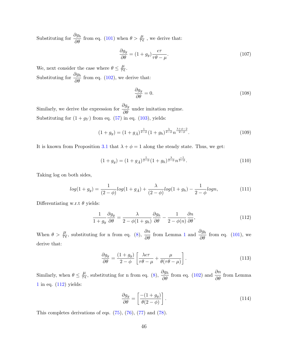Substituting for  $\frac{\partial g_h}{\partial \theta}$  from eq. (101) when  $\theta > \frac{\mu}{\tau \epsilon}$ , we derive that:

$$
\frac{\partial g_y}{\partial \theta} = (1 + g_y) \frac{\epsilon \tau}{\tau \theta - \mu}.
$$
\n(107)

We, next consider the case where  $\theta \leq \frac{\mu}{\tau \epsilon}$ . Substituting for  $\frac{\partial g_h}{\partial \theta}$  from eq. (102), we derive that:

$$
\frac{\partial g_y}{\partial \theta} = 0. \tag{108}
$$

Similarly, we derive the expression for  $\frac{\partial g_y}{\partial \theta}$  under imitation regime. Substituting for  $(1+g_Y)$  from eq. (57) in eq. (103), yields:

$$
(1+g_y) = (1+g_{\bar{A}})^{\frac{1}{2-\phi}}(1+g_h)^{\frac{\lambda}{2-\phi}} n^{\frac{\lambda+\phi-2}{2-\phi}}.
$$
\n(109)

It is known from Proposition 3.1 that  $\lambda + \phi = 1$  along the steady state. Thus, we get:

$$
(1+g_y) = (1+g_{\bar{A}})^{\frac{1}{2-\phi}}(1+g_h)^{\frac{\lambda}{2-\phi}} n^{\frac{-1}{2-\phi}}.
$$
\n(110)

Taking log on both sides,

$$
log(1+g_y) = \frac{1}{(2-\phi)}log(1+g_{\bar{A}}) + \frac{\lambda}{(2-\phi)}log(1+g_h) - \frac{1}{2-\phi}logn,
$$
\n(111)

Differentiating w.r.t  $\theta$  yields:

$$
\frac{1}{1+g_y} \frac{\partial g_y}{\partial \theta} = \frac{\lambda}{2-\phi(1+g_h)} \frac{\partial g_h}{\partial \theta} - \frac{1}{2-\phi(n)} \frac{\partial n}{\partial \theta},\tag{112}
$$

When  $\theta > \frac{\mu}{\tau \epsilon}$ , substituting for n from eq. (8),  $\frac{\partial n}{\partial \theta}$  from Lemma 1 and  $\frac{\partial g_h}{\partial \theta}$  from eq. (101), we derive that:

$$
\frac{\partial g_y}{\partial \theta} = \frac{(1+g_y)}{2-\phi} \left[ \frac{\lambda \epsilon \tau}{\tau \theta - \mu} + \frac{\mu}{\theta(\tau \theta - \mu)} \right].
$$
\n(113)

Similarly, when  $\theta \le \frac{\mu}{\tau \epsilon}$ , substituting for n from eq. (8),  $\frac{\partial g_h}{\partial \theta}$  from eq. (102) and  $\frac{\partial n}{\partial \theta}$  from Lemma  $1$  in eq.  $\left( 112\right)$  yields:

$$
\frac{\partial g_y}{\partial \theta} = \left[ \frac{-(1+g_y)}{\theta(2-\phi)} \right].
$$
\n(114)

This completes derivations of eqs.  $(75)$ ,  $(76)$ ,  $(77)$  and  $(78)$ .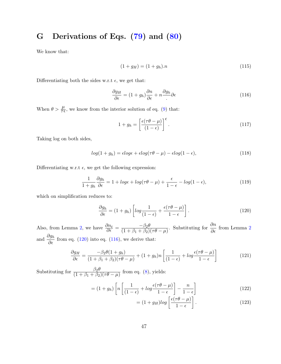### Derivations of Eqs. (79) and (80)  $\mathbf G$

We know that:

$$
(1 + g_H) = (1 + g_h).n
$$
\n(115)

Differentiating both the sides w.r.t  $\epsilon$ , we get that:

$$
\frac{\partial g_H}{\partial \epsilon} = (1 + g_h) \frac{\partial n}{\partial \epsilon} + n \frac{\partial g_h}{\partial \epsilon} \partial \epsilon \tag{116}
$$

When  $\theta > \frac{\mu}{\tau \epsilon}$ , we know from the interior solution of eq. (9) that:

$$
1 + g_h = \left[\frac{\epsilon(\tau\theta - \mu)}{(1 - \epsilon)}\right]^{\epsilon}.
$$
\n(117)

Taking log on both sides,

$$
log(1 + g_h) = \epsilon log\epsilon + \epsilon log(\tau \theta - \mu) - \epsilon log(1 - \epsilon), \qquad (118)
$$

Differentiating w.r.t  $\epsilon$ , we get the following expression:

$$
\frac{1}{1+g_h}\frac{\partial g_h}{\partial \epsilon} = 1 + \log \epsilon + \log(\tau \theta - \mu) + \frac{\epsilon}{1-\epsilon} - \log(1-\epsilon),\tag{119}
$$

which on simplification reduces to:

$$
\frac{\partial g_h}{\partial \epsilon} = (1 + g_h) \left[ \log \frac{1}{(1 - \epsilon)} + \frac{\epsilon(\tau \theta - \mu)}{1 - \epsilon} \right]. \tag{120}
$$

Also, from Lemma 2, we have  $\frac{\partial n_t}{\partial \epsilon} = \frac{-\beta_2 \theta}{(1 + \beta_1 + \beta_2)(\tau \theta - \mu)}$ . Substituting for  $\frac{\partial n}{\partial \epsilon}$  from Lemma 2 and  $\frac{\partial g_h}{\partial \epsilon}$  from eq. (120) into eq. (116), we derive that:

$$
\frac{\partial g_H}{\partial \epsilon} = \frac{-\beta_2 \theta (1 + g_h)}{(1 + \beta_1 + \beta_2)(\tau \theta - \mu)} + (1 + g_h)n \left[ \frac{1}{(1 - \epsilon)} + \log \frac{\epsilon (\tau \theta - \mu)}{1 - \epsilon} \right]
$$
(121)

Substituting for  $\frac{\beta_2 \theta}{(1+\beta_1+\beta_2)(\tau \theta - \mu)}$  from eq. (8), yields:

$$
= (1+g_h) \left[ n \left[ \frac{1}{(1-\epsilon)} + \log \frac{\epsilon(\tau \theta - \mu)}{1-\epsilon} \right] - \frac{n}{1-\epsilon} \right] \tag{122}
$$

$$
= (1 + g_H) \log \left[ \frac{\epsilon(\tau \theta - \mu)}{1 - \epsilon} \right].
$$
 (123)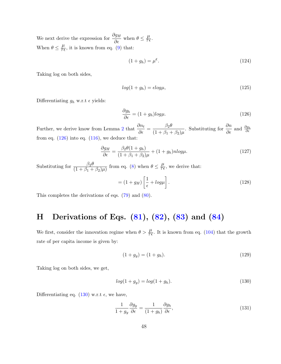We next derive the expression for  $\frac{\partial g_H}{\partial \epsilon}$  when  $\theta \leq \frac{\mu}{\tau \epsilon}$ . When  $\theta \leq \frac{\mu}{\tau \epsilon}$ , it is known from eq. (9) that:

$$
(1+g_h) = \mu^{\epsilon}.
$$
\n<sup>(124)</sup>

Taking log on both sides,

$$
log(1 + g_h) = \epsilon log \mu,\tag{125}
$$

Differentiating  $g_h$  w.r.t  $\epsilon$  yields:

$$
\frac{\partial g_h}{\partial \epsilon} = (1 + g_h) \log \mu. \tag{126}
$$

 $(128)$ 

Further, we derive know from Lemma 2 that  $\frac{\partial n_t}{\partial \epsilon} = \frac{\beta_2 \theta}{(1 + \beta_1 + \beta_2)\mu}$ . Substituting for  $\frac{\partial n}{\partial \epsilon}$  and  $\frac{\partial g_h}{\partial \epsilon}$ from eq.  $(126)$  into eq.  $(116)$ , we deduce that:

$$
\frac{\partial g_H}{\partial \epsilon} = \frac{\beta_2 \theta (1 + g_h)}{(1 + \beta_1 + \beta_2)\mu} + (1 + g_h) n \log \mu. \tag{127}
$$

Substituting for  $\frac{\beta_2 \theta}{(1+\beta_1+\beta_2)\mu}$  from eq. (8) when  $\theta \leq \frac{\mu}{\tau \epsilon}$ , we derive that:  $= (1+g_H)\left[\frac{1}{\epsilon}+log\mu\right].$ 

This completes the derivations of eqs.  $(79)$  and  $(80)$ .

## Derivations of Eqs.  $(81), (82), (83)$  and  $(84)$  $H$

We first, consider the innovation regime when  $\theta > \frac{\mu}{\tau \epsilon}$ . It is known from eq. (104) that the growth rate of per capita income is given by:

$$
(1 + g_y) = (1 + g_h). \t(129)
$$

Taking log on both sides, we get,

$$
log(1 + g_y) = log(1 + g_h).
$$
\n(130)

Differentiating eq. (130) w.r.t  $\epsilon$ , we have,

$$
\frac{1}{1+g_y}\frac{\partial g_y}{\partial \epsilon} = \frac{1}{(1+g_h)}\frac{\partial g_h}{\partial \epsilon},\tag{131}
$$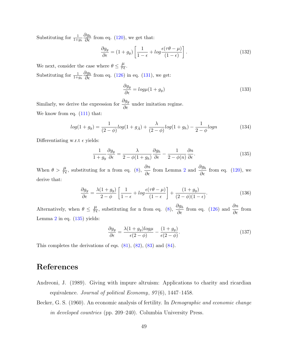Substituting for  $\frac{1}{1+g_h} \frac{\partial g_h}{\partial \epsilon}$  from eq. (120), we get that:

$$
\frac{\partial g_y}{\partial \epsilon} = (1 + g_y) \left[ \frac{1}{1 - \epsilon} + \log \frac{\epsilon(\tau \theta - \mu)}{(1 - \epsilon)} \right].
$$
\n(132)

We next, consider the case where  $\theta \leq \frac{\mu}{\tau \epsilon}$ .

Substituting for  $\frac{1}{1+g_h} \frac{\partial g_h}{\partial \epsilon}$  from eq. (126) in eq. (131), we get:

$$
\frac{\partial g_y}{\partial \epsilon} = \log \mu (1 + g_y) \tag{133}
$$

Similarly, we derive the expression for  $\frac{\partial g_y}{\partial \epsilon}$  under imitation regime. We know from eq.  $(111)$  that:

$$
log(1+g_y) = \frac{1}{(2-\phi)}log(1+g_{\bar{A}}) + \frac{\lambda}{(2-\phi)}log(1+g_h) - \frac{1}{2-\phi}logn
$$
 (134)

Differentiating w.r.t  $\epsilon$  yields:

$$
\frac{1}{1+g_y}\frac{\partial g_y}{\partial \epsilon} = \frac{\lambda}{2-\phi(1+g_h)}\frac{\partial g_h}{\partial \epsilon} - \frac{1}{2-\phi(n)}\frac{\partial n}{\partial \epsilon}.\tag{135}
$$

When  $\theta > \frac{\mu}{\tau \epsilon}$ , substituting for n from eq. (8),  $\frac{\partial n}{\partial \epsilon}$  from Lemma 2 and  $\frac{\partial g_h}{\partial \epsilon}$  from eq. (120), we derive that:

$$
\frac{\partial g_y}{\partial \epsilon} = \frac{\lambda (1 + g_y)}{2 - \phi} \left[ \frac{1}{1 - \epsilon} + \log \frac{\epsilon (\tau \theta - \mu)}{(1 - \epsilon)} \right] + \frac{(1 + g_y)}{(2 - \phi)(1 - \epsilon)}.
$$
(136)

Alternatively, when  $\theta \leq \frac{\mu}{\tau \epsilon}$ , substituting for n from eq. (8),  $\frac{\partial g_h}{\partial \epsilon}$  from eq. (126) and  $\frac{\partial n}{\partial \epsilon}$  from Lemma  $2$  in eq.  $(135)$  yields:

$$
\frac{\partial g_y}{\partial \epsilon} = \frac{\lambda (1 + g_y) \log \mu}{\epsilon (2 - \phi)} - \frac{(1 + g_y)}{\epsilon (2 - \phi)}.
$$
\n(137)

This completes the derivations of eqs.  $(81)$ ,  $(82)$ ,  $(83)$  and  $(84)$ .

## References

- Andreoni, J. (1989). Giving with impure altruism: Applications to charity and ricardian equivalence. Journal of political Economy,  $97(6)$ , 1447-1458.
- Becker, G. S. (1960). An economic analysis of fertility. In *Demographic and economic change in developed countries* (pp. 209–240). Columbia University Press.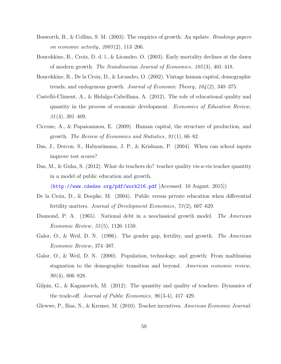- Bosworth, B., & Collins, S. M. (2003). The empirics of growth: An update. *Brookings papers* on economic activity,  $2003(2)$ , 113-206.
- Boucekkine, R., Croix, D. d. l., & Licandro, O. (2003). Early mortality declines at the dawn of modern growth. The Scandinavian Journal of Economics,  $105(3)$ , 401–418.
- Boucekkine, R., De la Croix, D., & Licandro, O. (2002). Vintage human capital, demographic trends, and endogenous growth. Journal of Economic Theory,  $104(2)$ , 340–375.
- Castelló-Climent, A., & Hidalgo-Cabrillana, A.  $(2012)$ . The role of educational quality and quantity in the process of economic development. Economics of Education Review,  $31(4)$ , 391-409.
- Ciccone, A., & Papaioannou, E.  $(2009)$ . Human capital, the structure of production, and growth. The Review of Economics and Statistics,  $91(1)$ , 66–82.
- Das, J., Dercon, S., Habyarimana, J. P., & Krishnan, P. (2004). When can school inputs improve test scores?
- Das, M., & Guha, S.  $(2012)$ . What do teachers do? teacher quality vis-a-vis teacher quantity in a model of public education and growth.

 $(\text{http://www.cdedse.org/pdf/work216.pdf$   $[\text{Accessed: } 10 \text{ August. } 2015])$ 

- De la Croix, D., & Doepke, M.  $(2004)$ . Public versus private education when differential fertility matters. Journal of Development Economics,  $73(2)$ , 607–629.
- Diamond, P. A. (1965). National debt in a neoclassical growth model. The American *Economic Review*,  $55(5)$ , 1126-1150.
- Galor, O., & Weil, D. N. (1996). The gender gap, fertility, and growth. The American *Economic Review, 374-387.*
- Galor, O., & Weil, D. N. (2000). Population, technology, and growth: From malthusian stagnation to the demographic transition and beyond. American economic review,  $90(4)$ , 806-828.
- Gilpin, G., & Kaganovich, M.  $(2012)$ . The quantity and quality of teachers: Dynamics of the trade-off. *Journal of Public Economics*,  $96(3-4)$ ,  $417-429$ .

Glewwe, P., Ilias, N., & Kremer, M. (2010). Teacher incentives. American Economic Journal: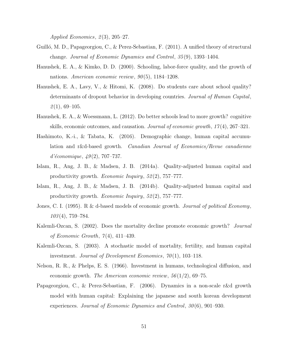Applied Economics,  $2(3)$ ,  $205-27$ .

- Guilló, M. D., Papageorgiou, C., & Perez-Sebastian, F. (2011). A unified theory of structural change. Journal of Economic Dynamics and Control,  $35(9)$ , 1393-1404.
- Hanushek, E. A., & Kimko, D. D. (2000). Schooling, labor-force quality, and the growth of nations. American economic review,  $90(5)$ , 1184-1208.
- Hanushek, E. A., Lavy, V., & Hitomi, K. (2008). Do students care about school quality? determinants of dropout behavior in developing countries. Journal of Human Capital,  $2(1), 69-105.$
- Hanushek, E. A., & Woessmann, L. (2012). Do better schools lead to more growth? cognitive skills, economic outcomes, and causation. Journal of economic growth,  $17(4)$ ,  $267-321$ .
- Hashimoto, K.-i., & Tabata, K.  $(2016)$ . Demographic change, human capital accumulation and r&d-based growth. Canadian Journal of Economics/Revue canadienne  $d'\'e conomique, 49(2), 707-737.$
- Islam, R., Ang, J. B., & Madsen, J. B. (2014a). Quality-adjusted human capital and productivity growth. *Economic Inquiry*,  $52(2)$ ,  $757-777$ .
- Islam, R., Ang, J. B., & Madsen, J. B. (2014b). Quality-adjusted human capital and productivity growth. *Economic Inquiry*,  $52(2)$ ,  $757-777$ .
- Jones, C. I. (1995). R & d-based models of economic growth. Journal of political Economy,  $103(4)$ , 759-784.
- Kalemli-Ozcan, S. (2002). Does the mortality decline promote economic growth? Journal of Economic Growth,  $7(4)$ , 411-439.
- Kalemli-Ozcan, S. (2003). A stochastic model of mortality, fertility, and human capital investment. Journal of Development Economics,  $70(1)$ , 103-118.
- Nelson, R. R., & Phelps, E. S. (1966). Investment in humans, technological diffusion, and economic growth. The American economic review,  $56(1/2)$ , 69-75.
- Papageorgiou, C., & Perez-Sebastian, F. (2006). Dynamics in a non-scale r&d growth model with human capital: Explaining the japanese and south korean development experiences. Journal of Economic Dynamics and Control,  $30(6)$ , 901–930.